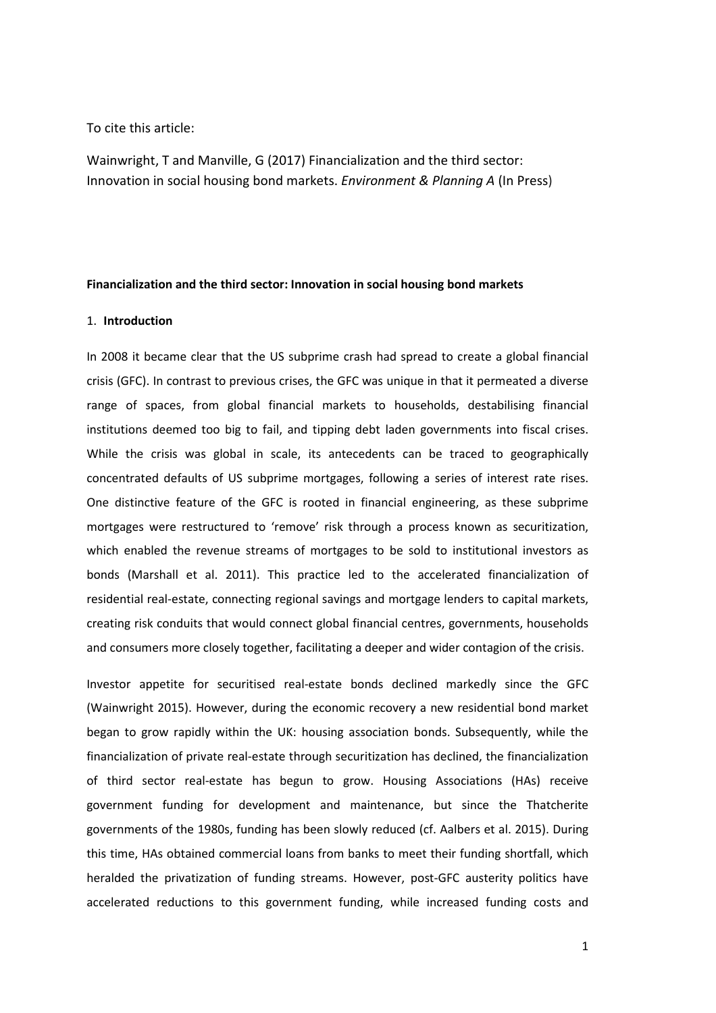### To cite this article:

Wainwright, T and Manville, G (2017) Financialization and the third sector: Innovation in social housing bond markets. *Environment & Planning A* (In Press)

### **Financialization and the third sector: Innovation in social housing bond markets**

#### 1. **Introduction**

In 2008 it became clear that the US subprime crash had spread to create a global financial crisis (GFC). In contrast to previous crises, the GFC was unique in that it permeated a diverse range of spaces, from global financial markets to households, destabilising financial institutions deemed too big to fail, and tipping debt laden governments into fiscal crises. While the crisis was global in scale, its antecedents can be traced to geographically concentrated defaults of US subprime mortgages, following a series of interest rate rises. One distinctive feature of the GFC is rooted in financial engineering, as these subprime mortgages were restructured to 'remove' risk through a process known as securitization, which enabled the revenue streams of mortgages to be sold to institutional investors as bonds (Marshall et al. 2011). This practice led to the accelerated financialization of residential real-estate, connecting regional savings and mortgage lenders to capital markets, creating risk conduits that would connect global financial centres, governments, households and consumers more closely together, facilitating a deeper and wider contagion of the crisis.

Investor appetite for securitised real-estate bonds declined markedly since the GFC (Wainwright 2015). However, during the economic recovery a new residential bond market began to grow rapidly within the UK: housing association bonds. Subsequently, while the financialization of private real-estate through securitization has declined, the financialization of third sector real-estate has begun to grow. Housing Associations (HAs) receive government funding for development and maintenance, but since the Thatcherite governments of the 1980s, funding has been slowly reduced (cf. Aalbers et al. 2015). During this time, HAs obtained commercial loans from banks to meet their funding shortfall, which heralded the privatization of funding streams. However, post-GFC austerity politics have accelerated reductions to this government funding, while increased funding costs and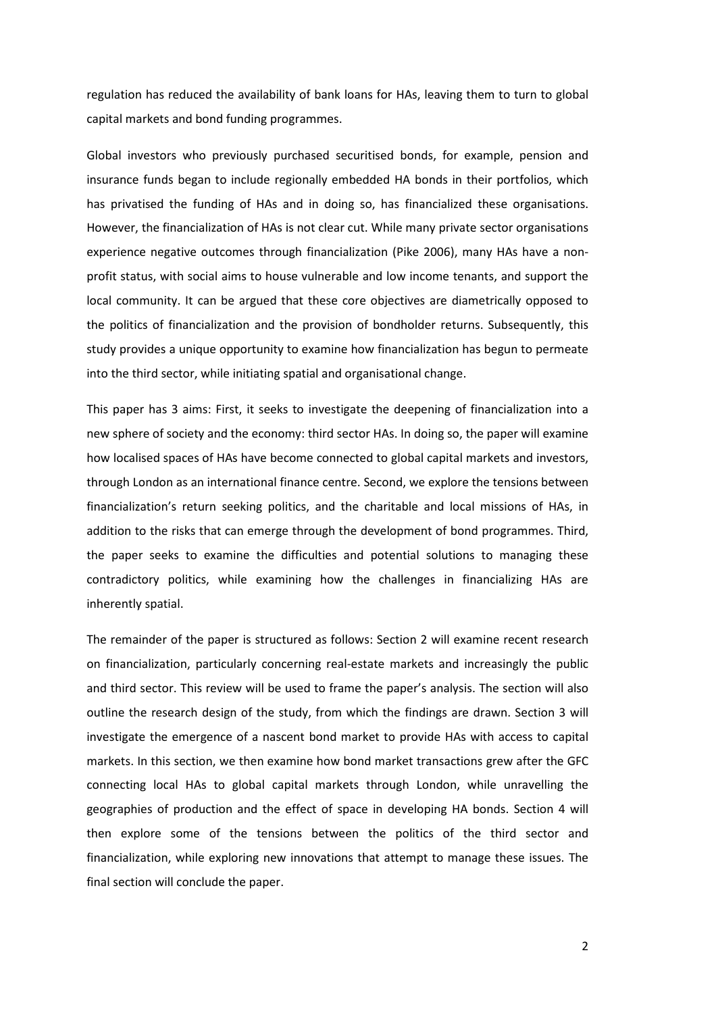regulation has reduced the availability of bank loans for HAs, leaving them to turn to global capital markets and bond funding programmes.

Global investors who previously purchased securitised bonds, for example, pension and insurance funds began to include regionally embedded HA bonds in their portfolios, which has privatised the funding of HAs and in doing so, has financialized these organisations. However, the financialization of HAs is not clear cut. While many private sector organisations experience negative outcomes through financialization (Pike 2006), many HAs have a nonprofit status, with social aims to house vulnerable and low income tenants, and support the local community. It can be argued that these core objectives are diametrically opposed to the politics of financialization and the provision of bondholder returns. Subsequently, this study provides a unique opportunity to examine how financialization has begun to permeate into the third sector, while initiating spatial and organisational change.

This paper has 3 aims: First, it seeks to investigate the deepening of financialization into a new sphere of society and the economy: third sector HAs. In doing so, the paper will examine how localised spaces of HAs have become connected to global capital markets and investors, through London as an international finance centre. Second, we explore the tensions between financialization's return seeking politics, and the charitable and local missions of HAs, in addition to the risks that can emerge through the development of bond programmes. Third, the paper seeks to examine the difficulties and potential solutions to managing these contradictory politics, while examining how the challenges in financializing HAs are inherently spatial.

The remainder of the paper is structured as follows: Section 2 will examine recent research on financialization, particularly concerning real-estate markets and increasingly the public and third sector. This review will be used to frame the paper's analysis. The section will also outline the research design of the study, from which the findings are drawn. Section 3 will investigate the emergence of a nascent bond market to provide HAs with access to capital markets. In this section, we then examine how bond market transactions grew after the GFC connecting local HAs to global capital markets through London, while unravelling the geographies of production and the effect of space in developing HA bonds. Section 4 will then explore some of the tensions between the politics of the third sector and financialization, while exploring new innovations that attempt to manage these issues. The final section will conclude the paper.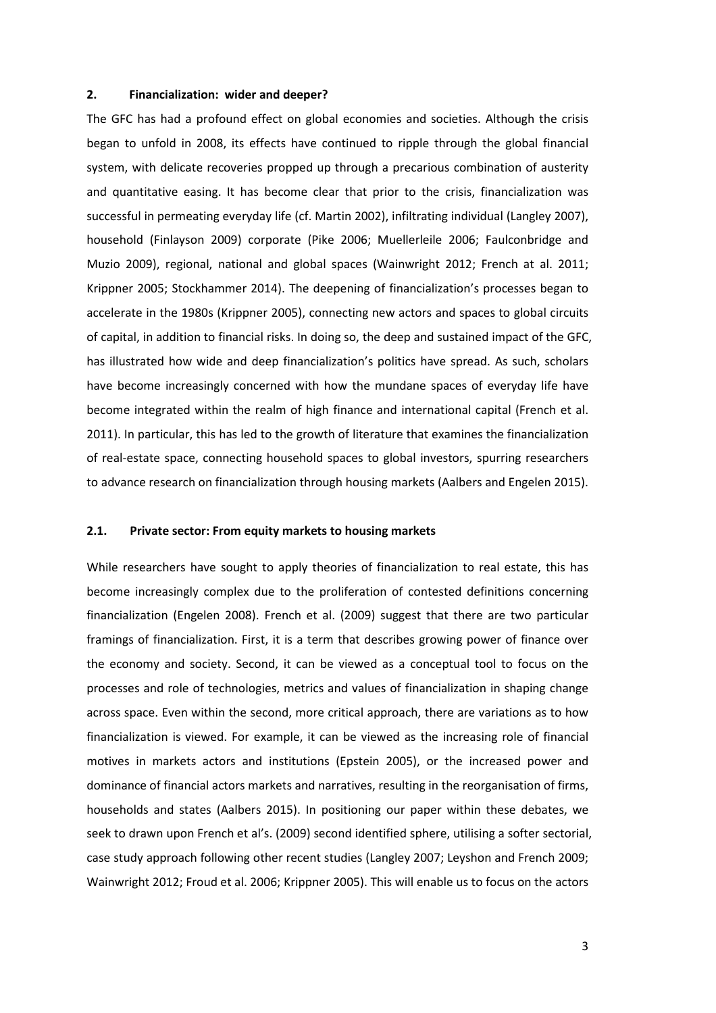### **2. Financialization: wider and deeper?**

The GFC has had a profound effect on global economies and societies. Although the crisis began to unfold in 2008, its effects have continued to ripple through the global financial system, with delicate recoveries propped up through a precarious combination of austerity and quantitative easing. It has become clear that prior to the crisis, financialization was successful in permeating everyday life (cf. Martin 2002), infiltrating individual (Langley 2007), household (Finlayson 2009) corporate (Pike 2006; Muellerleile 2006; Faulconbridge and Muzio 2009), regional, national and global spaces (Wainwright 2012; French at al. 2011; Krippner 2005; Stockhammer 2014). The deepening of financialization's processes began to accelerate in the 1980s (Krippner 2005), connecting new actors and spaces to global circuits of capital, in addition to financial risks. In doing so, the deep and sustained impact of the GFC, has illustrated how wide and deep financialization's politics have spread. As such, scholars have become increasingly concerned with how the mundane spaces of everyday life have become integrated within the realm of high finance and international capital (French et al. 2011). In particular, this has led to the growth of literature that examines the financialization of real-estate space, connecting household spaces to global investors, spurring researchers to advance research on financialization through housing markets (Aalbers and Engelen 2015).

### **2.1. Private sector: From equity markets to housing markets**

While researchers have sought to apply theories of financialization to real estate, this has become increasingly complex due to the proliferation of contested definitions concerning financialization (Engelen 2008). French et al. (2009) suggest that there are two particular framings of financialization. First, it is a term that describes growing power of finance over the economy and society. Second, it can be viewed as a conceptual tool to focus on the processes and role of technologies, metrics and values of financialization in shaping change across space. Even within the second, more critical approach, there are variations as to how financialization is viewed. For example, it can be viewed as the increasing role of financial motives in markets actors and institutions (Epstein 2005), or the increased power and dominance of financial actors markets and narratives, resulting in the reorganisation of firms, households and states (Aalbers 2015). In positioning our paper within these debates, we seek to drawn upon French et al's. (2009) second identified sphere, utilising a softer sectorial, case study approach following other recent studies (Langley 2007; Leyshon and French 2009; Wainwright 2012; Froud et al. 2006; Krippner 2005). This will enable us to focus on the actors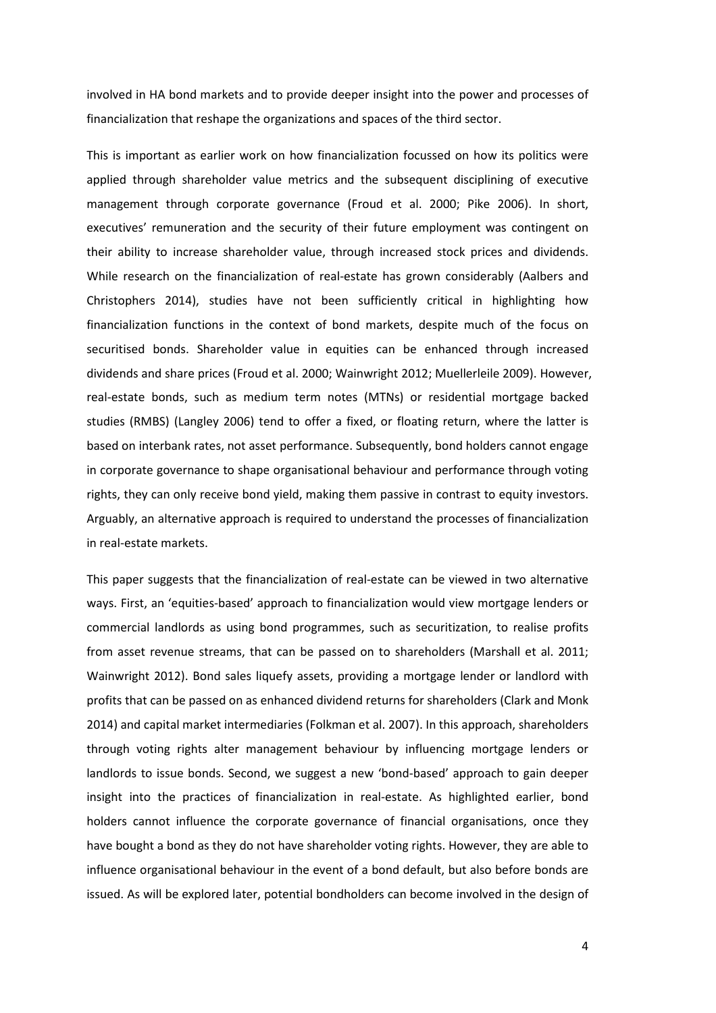involved in HA bond markets and to provide deeper insight into the power and processes of financialization that reshape the organizations and spaces of the third sector.

This is important as earlier work on how financialization focussed on how its politics were applied through shareholder value metrics and the subsequent disciplining of executive management through corporate governance (Froud et al. 2000; Pike 2006). In short, executives' remuneration and the security of their future employment was contingent on their ability to increase shareholder value, through increased stock prices and dividends. While research on the financialization of real-estate has grown considerably (Aalbers and Christophers 2014), studies have not been sufficiently critical in highlighting how financialization functions in the context of bond markets, despite much of the focus on securitised bonds. Shareholder value in equities can be enhanced through increased dividends and share prices (Froud et al. 2000; Wainwright 2012; Muellerleile 2009). However, real-estate bonds, such as medium term notes (MTNs) or residential mortgage backed studies (RMBS) (Langley 2006) tend to offer a fixed, or floating return, where the latter is based on interbank rates, not asset performance. Subsequently, bond holders cannot engage in corporate governance to shape organisational behaviour and performance through voting rights, they can only receive bond yield, making them passive in contrast to equity investors. Arguably, an alternative approach is required to understand the processes of financialization in real-estate markets.

This paper suggests that the financialization of real-estate can be viewed in two alternative ways. First, an 'equities-based' approach to financialization would view mortgage lenders or commercial landlords as using bond programmes, such as securitization, to realise profits from asset revenue streams, that can be passed on to shareholders (Marshall et al. 2011; Wainwright 2012). Bond sales liquefy assets, providing a mortgage lender or landlord with profits that can be passed on as enhanced dividend returns for shareholders (Clark and Monk 2014) and capital market intermediaries (Folkman et al. 2007). In this approach, shareholders through voting rights alter management behaviour by influencing mortgage lenders or landlords to issue bonds. Second, we suggest a new 'bond-based' approach to gain deeper insight into the practices of financialization in real-estate. As highlighted earlier, bond holders cannot influence the corporate governance of financial organisations, once they have bought a bond as they do not have shareholder voting rights. However, they are able to influence organisational behaviour in the event of a bond default, but also before bonds are issued. As will be explored later, potential bondholders can become involved in the design of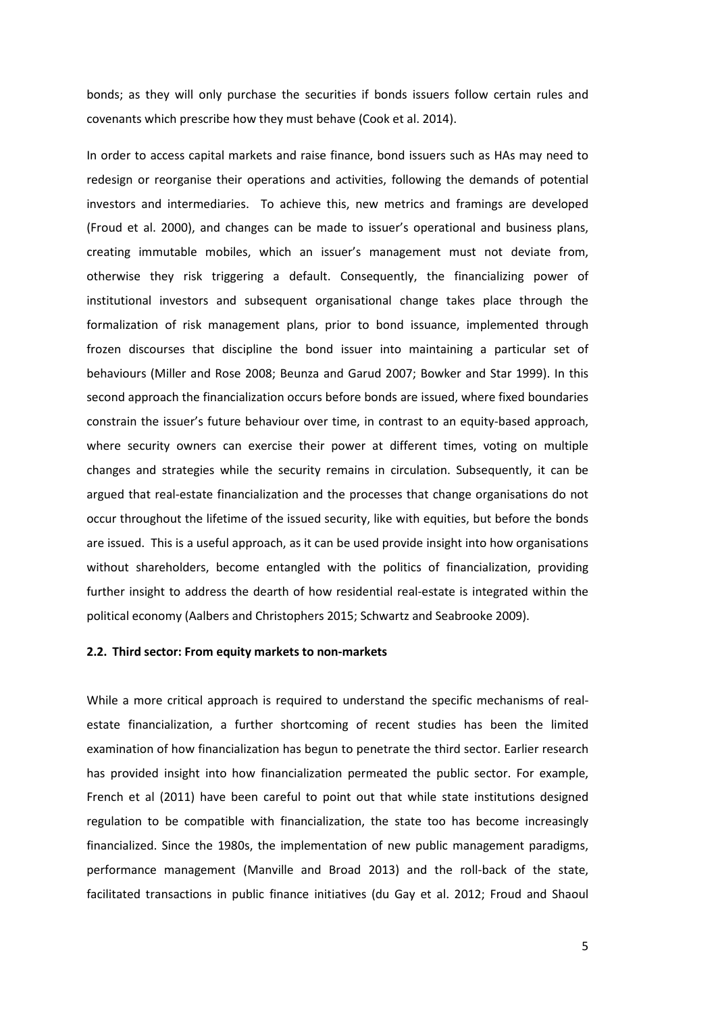bonds; as they will only purchase the securities if bonds issuers follow certain rules and covenants which prescribe how they must behave (Cook et al. 2014).

In order to access capital markets and raise finance, bond issuers such as HAs may need to redesign or reorganise their operations and activities, following the demands of potential investors and intermediaries. To achieve this, new metrics and framings are developed (Froud et al. 2000), and changes can be made to issuer's operational and business plans, creating immutable mobiles, which an issuer's management must not deviate from, otherwise they risk triggering a default. Consequently, the financializing power of institutional investors and subsequent organisational change takes place through the formalization of risk management plans, prior to bond issuance, implemented through frozen discourses that discipline the bond issuer into maintaining a particular set of behaviours (Miller and Rose 2008; Beunza and Garud 2007; Bowker and Star 1999). In this second approach the financialization occurs before bonds are issued, where fixed boundaries constrain the issuer's future behaviour over time, in contrast to an equity-based approach, where security owners can exercise their power at different times, voting on multiple changes and strategies while the security remains in circulation. Subsequently, it can be argued that real-estate financialization and the processes that change organisations do not occur throughout the lifetime of the issued security, like with equities, but before the bonds are issued. This is a useful approach, as it can be used provide insight into how organisations without shareholders, become entangled with the politics of financialization, providing further insight to address the dearth of how residential real-estate is integrated within the political economy (Aalbers and Christophers 2015; Schwartz and Seabrooke 2009).

### **2.2. Third sector: From equity markets to non-markets**

While a more critical approach is required to understand the specific mechanisms of realestate financialization, a further shortcoming of recent studies has been the limited examination of how financialization has begun to penetrate the third sector. Earlier research has provided insight into how financialization permeated the public sector. For example, French et al (2011) have been careful to point out that while state institutions designed regulation to be compatible with financialization, the state too has become increasingly financialized. Since the 1980s, the implementation of new public management paradigms, performance management (Manville and Broad 2013) and the roll-back of the state, facilitated transactions in public finance initiatives (du Gay et al. 2012; Froud and Shaoul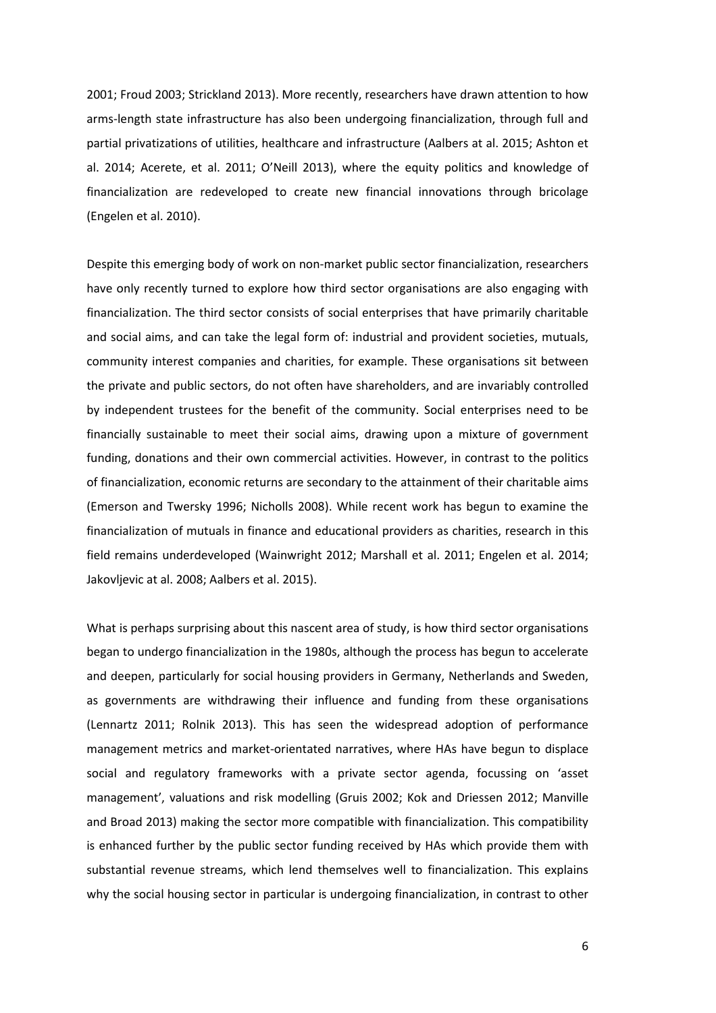2001; Froud 2003; Strickland 2013). More recently, researchers have drawn attention to how arms-length state infrastructure has also been undergoing financialization, through full and partial privatizations of utilities, healthcare and infrastructure (Aalbers at al. 2015; Ashton et al. 2014; Acerete, et al. 2011; O'Neill 2013), where the equity politics and knowledge of financialization are redeveloped to create new financial innovations through bricolage (Engelen et al. 2010).

Despite this emerging body of work on non-market public sector financialization, researchers have only recently turned to explore how third sector organisations are also engaging with financialization. The third sector consists of social enterprises that have primarily charitable and social aims, and can take the legal form of: industrial and provident societies, mutuals, community interest companies and charities, for example. These organisations sit between the private and public sectors, do not often have shareholders, and are invariably controlled by independent trustees for the benefit of the community. Social enterprises need to be financially sustainable to meet their social aims, drawing upon a mixture of government funding, donations and their own commercial activities. However, in contrast to the politics of financialization, economic returns are secondary to the attainment of their charitable aims (Emerson and Twersky 1996; Nicholls 2008). While recent work has begun to examine the financialization of mutuals in finance and educational providers as charities, research in this field remains underdeveloped (Wainwright 2012; Marshall et al. 2011; Engelen et al. 2014; Jakovljevic at al. 2008; Aalbers et al. 2015).

What is perhaps surprising about this nascent area of study, is how third sector organisations began to undergo financialization in the 1980s, although the process has begun to accelerate and deepen, particularly for social housing providers in Germany, Netherlands and Sweden, as governments are withdrawing their influence and funding from these organisations (Lennartz 2011; Rolnik 2013). This has seen the widespread adoption of performance management metrics and market-orientated narratives, where HAs have begun to displace social and regulatory frameworks with a private sector agenda, focussing on 'asset management', valuations and risk modelling (Gruis 2002; Kok and Driessen 2012; Manville and Broad 2013) making the sector more compatible with financialization. This compatibility is enhanced further by the public sector funding received by HAs which provide them with substantial revenue streams, which lend themselves well to financialization. This explains why the social housing sector in particular is undergoing financialization, in contrast to other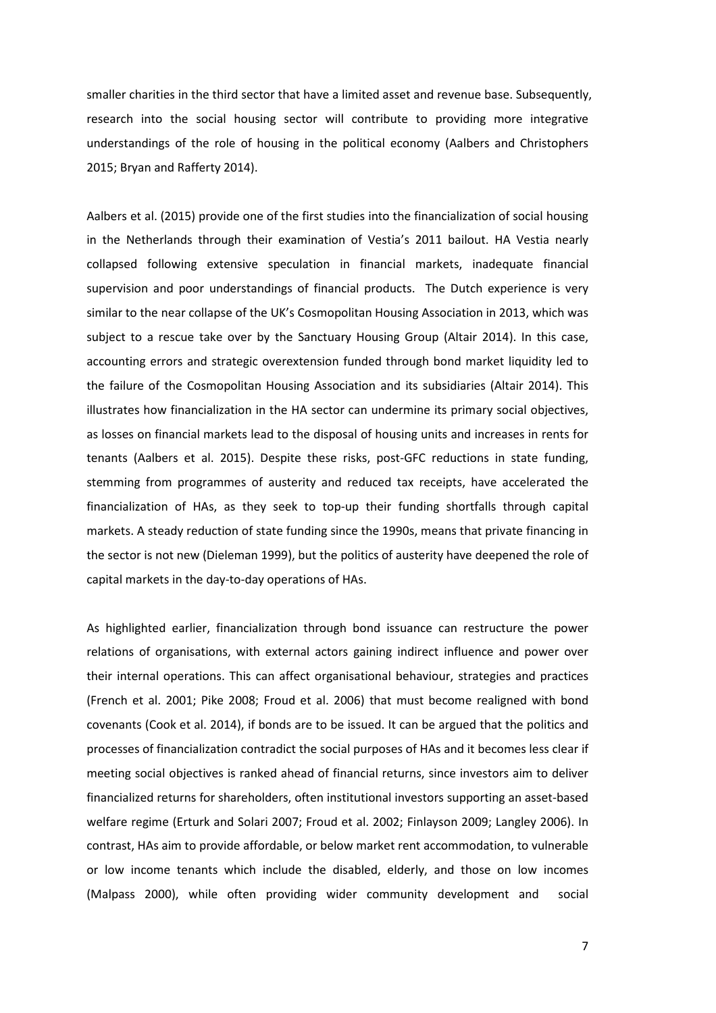smaller charities in the third sector that have a limited asset and revenue base. Subsequently, research into the social housing sector will contribute to providing more integrative understandings of the role of housing in the political economy (Aalbers and Christophers 2015; Bryan and Rafferty 2014).

Aalbers et al. (2015) provide one of the first studies into the financialization of social housing in the Netherlands through their examination of Vestia's 2011 bailout. HA Vestia nearly collapsed following extensive speculation in financial markets, inadequate financial supervision and poor understandings of financial products. The Dutch experience is very similar to the near collapse of the UK's Cosmopolitan Housing Association in 2013, which was subject to a rescue take over by the Sanctuary Housing Group (Altair 2014). In this case, accounting errors and strategic overextension funded through bond market liquidity led to the failure of the Cosmopolitan Housing Association and its subsidiaries (Altair 2014). This illustrates how financialization in the HA sector can undermine its primary social objectives, as losses on financial markets lead to the disposal of housing units and increases in rents for tenants (Aalbers et al. 2015). Despite these risks, post-GFC reductions in state funding, stemming from programmes of austerity and reduced tax receipts, have accelerated the financialization of HAs, as they seek to top-up their funding shortfalls through capital markets. A steady reduction of state funding since the 1990s, means that private financing in the sector is not new (Dieleman 1999), but the politics of austerity have deepened the role of capital markets in the day-to-day operations of HAs.

As highlighted earlier, financialization through bond issuance can restructure the power relations of organisations, with external actors gaining indirect influence and power over their internal operations. This can affect organisational behaviour, strategies and practices (French et al. 2001; Pike 2008; Froud et al. 2006) that must become realigned with bond covenants (Cook et al. 2014), if bonds are to be issued. It can be argued that the politics and processes of financialization contradict the social purposes of HAs and it becomes less clear if meeting social objectives is ranked ahead of financial returns, since investors aim to deliver financialized returns for shareholders, often institutional investors supporting an asset-based welfare regime (Erturk and Solari 2007; Froud et al. 2002; Finlayson 2009; Langley 2006). In contrast, HAs aim to provide affordable, or below market rent accommodation, to vulnerable or low income tenants which include the disabled, elderly, and those on low incomes (Malpass 2000), while often providing wider community development and social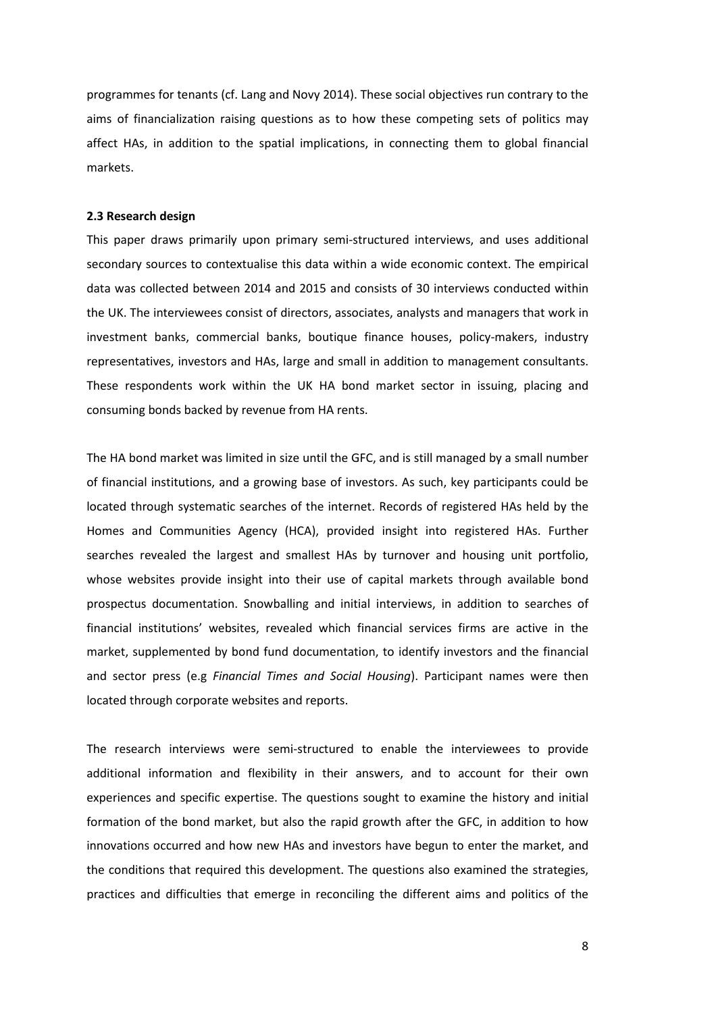programmes for tenants (cf. Lang and Novy 2014). These social objectives run contrary to the aims of financialization raising questions as to how these competing sets of politics may affect HAs, in addition to the spatial implications, in connecting them to global financial markets.

### **2.3 Research design**

This paper draws primarily upon primary semi-structured interviews, and uses additional secondary sources to contextualise this data within a wide economic context. The empirical data was collected between 2014 and 2015 and consists of 30 interviews conducted within the UK. The interviewees consist of directors, associates, analysts and managers that work in investment banks, commercial banks, boutique finance houses, policy-makers, industry representatives, investors and HAs, large and small in addition to management consultants. These respondents work within the UK HA bond market sector in issuing, placing and consuming bonds backed by revenue from HA rents.

The HA bond market was limited in size until the GFC, and is still managed by a small number of financial institutions, and a growing base of investors. As such, key participants could be located through systematic searches of the internet. Records of registered HAs held by the Homes and Communities Agency (HCA), provided insight into registered HAs. Further searches revealed the largest and smallest HAs by turnover and housing unit portfolio, whose websites provide insight into their use of capital markets through available bond prospectus documentation. Snowballing and initial interviews, in addition to searches of financial institutions' websites, revealed which financial services firms are active in the market, supplemented by bond fund documentation, to identify investors and the financial and sector press (e.g *Financial Times and Social Housing*). Participant names were then located through corporate websites and reports.

The research interviews were semi-structured to enable the interviewees to provide additional information and flexibility in their answers, and to account for their own experiences and specific expertise. The questions sought to examine the history and initial formation of the bond market, but also the rapid growth after the GFC, in addition to how innovations occurred and how new HAs and investors have begun to enter the market, and the conditions that required this development. The questions also examined the strategies, practices and difficulties that emerge in reconciling the different aims and politics of the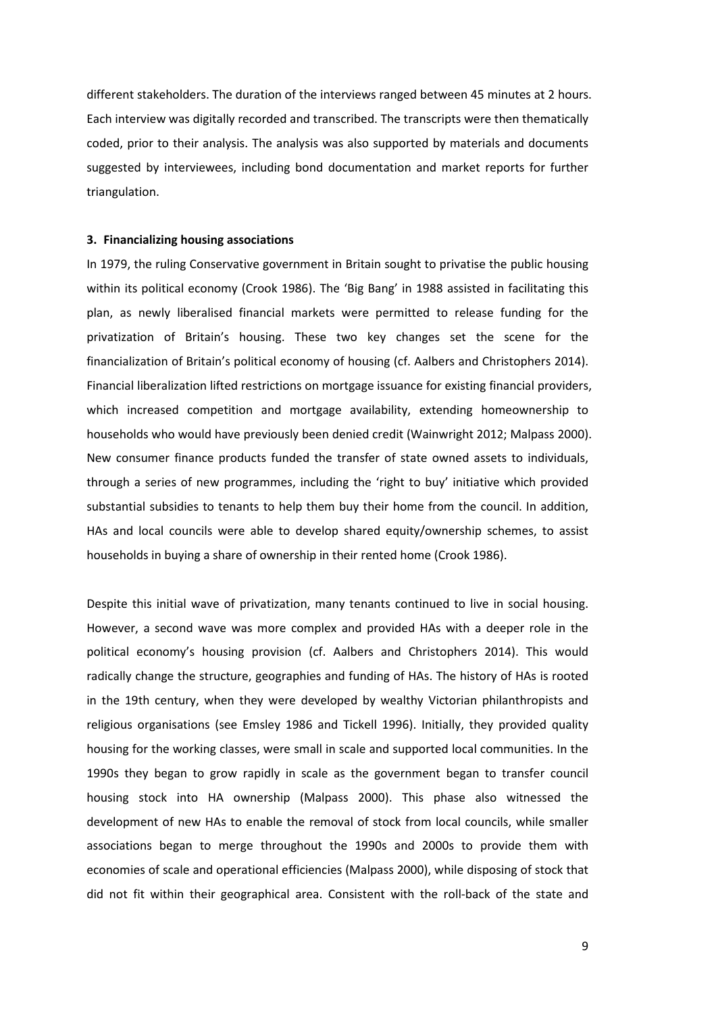different stakeholders. The duration of the interviews ranged between 45 minutes at 2 hours. Each interview was digitally recorded and transcribed. The transcripts were then thematically coded, prior to their analysis. The analysis was also supported by materials and documents suggested by interviewees, including bond documentation and market reports for further triangulation.

### **3. Financializing housing associations**

In 1979, the ruling Conservative government in Britain sought to privatise the public housing within its political economy (Crook 1986). The 'Big Bang' in 1988 assisted in facilitating this plan, as newly liberalised financial markets were permitted to release funding for the privatization of Britain's housing. These two key changes set the scene for the financialization of Britain's political economy of housing (cf. Aalbers and Christophers 2014). Financial liberalization lifted restrictions on mortgage issuance for existing financial providers, which increased competition and mortgage availability, extending homeownership to households who would have previously been denied credit (Wainwright 2012; Malpass 2000). New consumer finance products funded the transfer of state owned assets to individuals, through a series of new programmes, including the 'right to buy' initiative which provided substantial subsidies to tenants to help them buy their home from the council. In addition, HAs and local councils were able to develop shared equity/ownership schemes, to assist households in buying a share of ownership in their rented home (Crook 1986).

Despite this initial wave of privatization, many tenants continued to live in social housing. However, a second wave was more complex and provided HAs with a deeper role in the political economy's housing provision (cf. Aalbers and Christophers 2014). This would radically change the structure, geographies and funding of HAs. The history of HAs is rooted in the 19th century, when they were developed by wealthy Victorian philanthropists and religious organisations (see Emsley 1986 and Tickell 1996). Initially, they provided quality housing for the working classes, were small in scale and supported local communities. In the 1990s they began to grow rapidly in scale as the government began to transfer council housing stock into HA ownership (Malpass 2000). This phase also witnessed the development of new HAs to enable the removal of stock from local councils, while smaller associations began to merge throughout the 1990s and 2000s to provide them with economies of scale and operational efficiencies (Malpass 2000), while disposing of stock that did not fit within their geographical area. Consistent with the roll-back of the state and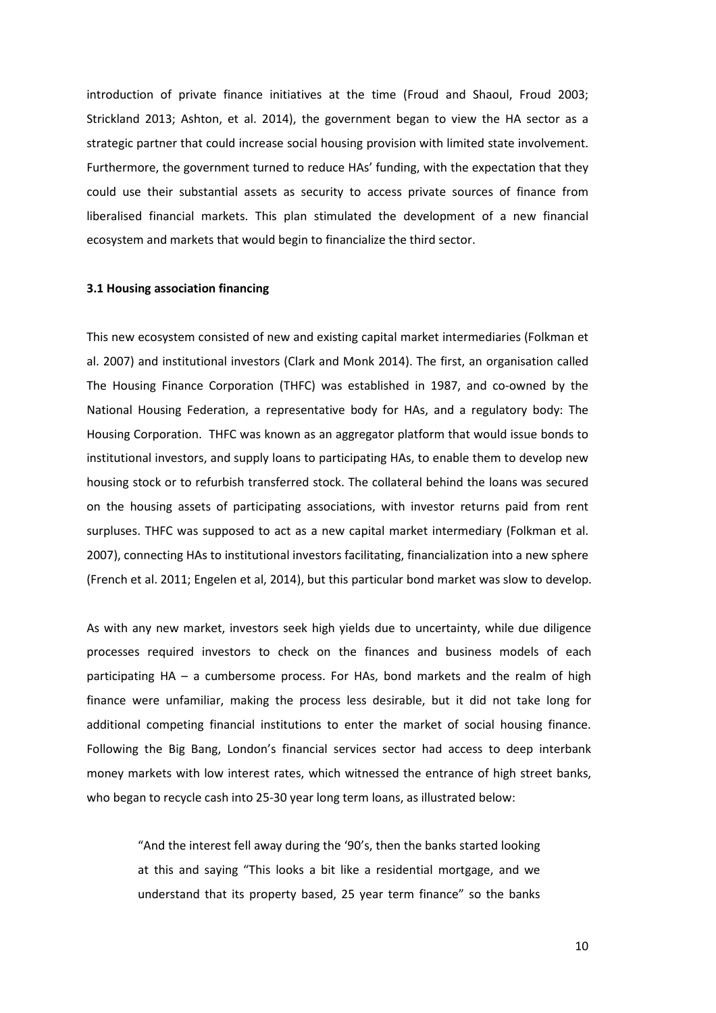introduction of private finance initiatives at the time (Froud and Shaoul, Froud 2003; Strickland 2013; Ashton, et al. 2014), the government began to view the HA sector as a strategic partner that could increase social housing provision with limited state involvement. Furthermore, the government turned to reduce HAs' funding, with the expectation that they could use their substantial assets as security to access private sources of finance from liberalised financial markets. This plan stimulated the development of a new financial ecosystem and markets that would begin to financialize the third sector.

### **3.1 Housing association financing**

This new ecosystem consisted of new and existing capital market intermediaries (Folkman et al. 2007) and institutional investors (Clark and Monk 2014). The first, an organisation called The Housing Finance Corporation (THFC) was established in 1987, and co-owned by the National Housing Federation, a representative body for HAs, and a regulatory body: The Housing Corporation. THFC was known as an aggregator platform that would issue bonds to institutional investors, and supply loans to participating HAs, to enable them to develop new housing stock or to refurbish transferred stock. The collateral behind the loans was secured on the housing assets of participating associations, with investor returns paid from rent surpluses. THFC was supposed to act as a new capital market intermediary (Folkman et al. 2007), connecting HAs to institutional investors facilitating, financialization into a new sphere (French et al. 2011; Engelen et al, 2014), but this particular bond market was slow to develop.

As with any new market, investors seek high yields due to uncertainty, while due diligence processes required investors to check on the finances and business models of each participating HA – a cumbersome process. For HAs, bond markets and the realm of high finance were unfamiliar, making the process less desirable, but it did not take long for additional competing financial institutions to enter the market of social housing finance. Following the Big Bang, London's financial services sector had access to deep interbank money markets with low interest rates, which witnessed the entrance of high street banks, who began to recycle cash into 25-30 year long term loans, as illustrated below:

> "And the interest fell away during the '90's, then the banks started looking at this and saying "This looks a bit like a residential mortgage, and we understand that its property based, 25 year term finance" so the banks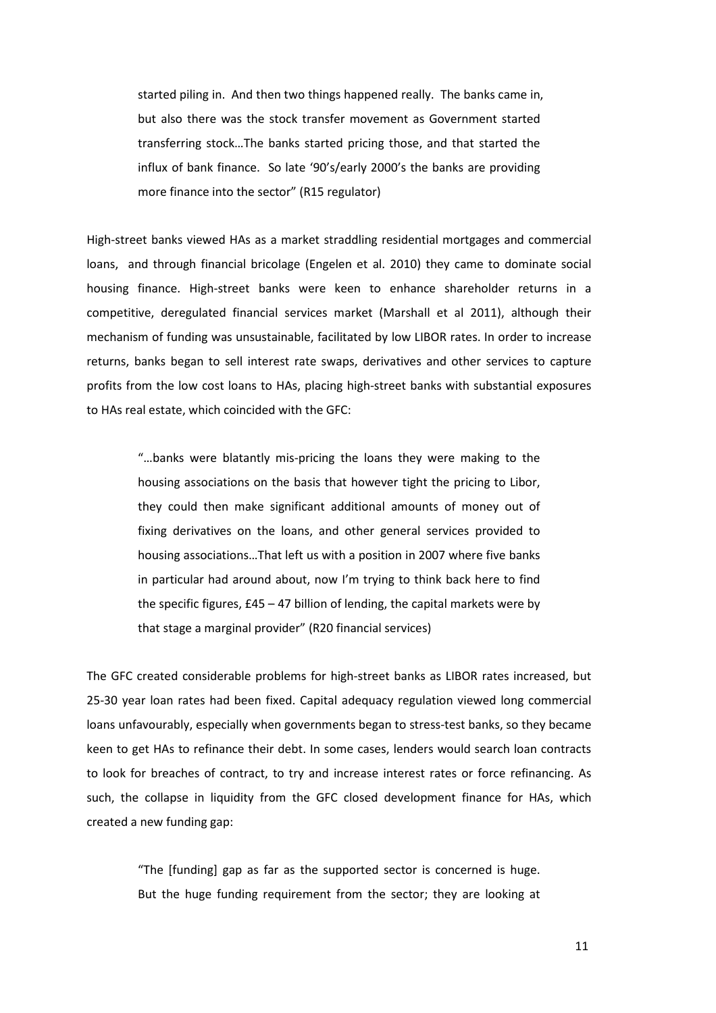started piling in. And then two things happened really. The banks came in, but also there was the stock transfer movement as Government started transferring stock…The banks started pricing those, and that started the influx of bank finance. So late '90's/early 2000's the banks are providing more finance into the sector" (R15 regulator)

High-street banks viewed HAs as a market straddling residential mortgages and commercial loans, and through financial bricolage (Engelen et al. 2010) they came to dominate social housing finance. High-street banks were keen to enhance shareholder returns in a competitive, deregulated financial services market (Marshall et al 2011), although their mechanism of funding was unsustainable, facilitated by low LIBOR rates. In order to increase returns, banks began to sell interest rate swaps, derivatives and other services to capture profits from the low cost loans to HAs, placing high-street banks with substantial exposures to HAs real estate, which coincided with the GFC:

"…banks were blatantly mis-pricing the loans they were making to the housing associations on the basis that however tight the pricing to Libor, they could then make significant additional amounts of money out of fixing derivatives on the loans, and other general services provided to housing associations…That left us with a position in 2007 where five banks in particular had around about, now I'm trying to think back here to find the specific figures, £45 – 47 billion of lending, the capital markets were by that stage a marginal provider" (R20 financial services)

The GFC created considerable problems for high-street banks as LIBOR rates increased, but 25-30 year loan rates had been fixed. Capital adequacy regulation viewed long commercial loans unfavourably, especially when governments began to stress-test banks, so they became keen to get HAs to refinance their debt. In some cases, lenders would search loan contracts to look for breaches of contract, to try and increase interest rates or force refinancing. As such, the collapse in liquidity from the GFC closed development finance for HAs, which created a new funding gap:

> "The [funding] gap as far as the supported sector is concerned is huge. But the huge funding requirement from the sector; they are looking at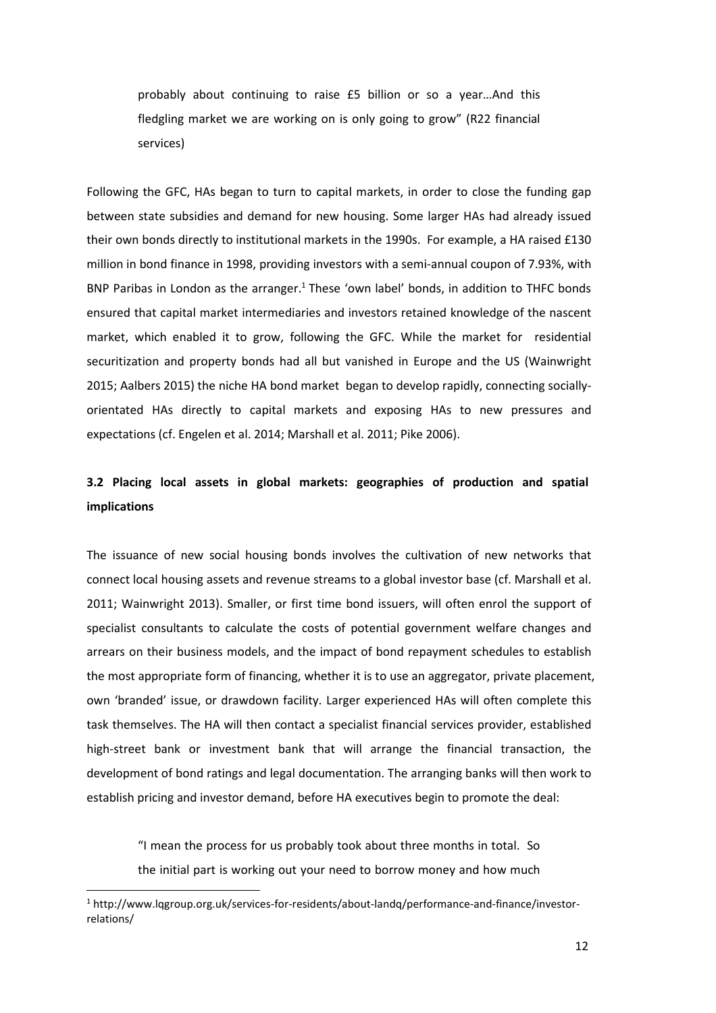probably about continuing to raise £5 billion or so a year…And this fledgling market we are working on is only going to grow" (R22 financial services)

Following the GFC, HAs began to turn to capital markets, in order to close the funding gap between state subsidies and demand for new housing. Some larger HAs had already issued their own bonds directly to institutional markets in the 1990s. For example, a HA raised £130 million in bond finance in 1998, providing investors with a semi-annual coupon of 7.93%, with BNP Paribas in London as the arranger.<sup>1</sup> These 'own label' bonds, in addition to THFC bonds ensured that capital market intermediaries and investors retained knowledge of the nascent market, which enabled it to grow, following the GFC. While the market for residential securitization and property bonds had all but vanished in Europe and the US (Wainwright 2015; Aalbers 2015) the niche HA bond market began to develop rapidly, connecting sociallyorientated HAs directly to capital markets and exposing HAs to new pressures and expectations (cf. Engelen et al. 2014; Marshall et al. 2011; Pike 2006).

# **3.2 Placing local assets in global markets: geographies of production and spatial implications**

The issuance of new social housing bonds involves the cultivation of new networks that connect local housing assets and revenue streams to a global investor base (cf. Marshall et al. 2011; Wainwright 2013). Smaller, or first time bond issuers, will often enrol the support of specialist consultants to calculate the costs of potential government welfare changes and arrears on their business models, and the impact of bond repayment schedules to establish the most appropriate form of financing, whether it is to use an aggregator, private placement, own 'branded' issue, or drawdown facility. Larger experienced HAs will often complete this task themselves. The HA will then contact a specialist financial services provider, established high-street bank or investment bank that will arrange the financial transaction, the development of bond ratings and legal documentation. The arranging banks will then work to establish pricing and investor demand, before HA executives begin to promote the deal:

> "I mean the process for us probably took about three months in total. So the initial part is working out your need to borrow money and how much

 $\overline{\phantom{0}}$ 

<sup>1</sup> http://www.lqgroup.org.uk/services-for-residents/about-landq/performance-and-finance/investorrelations/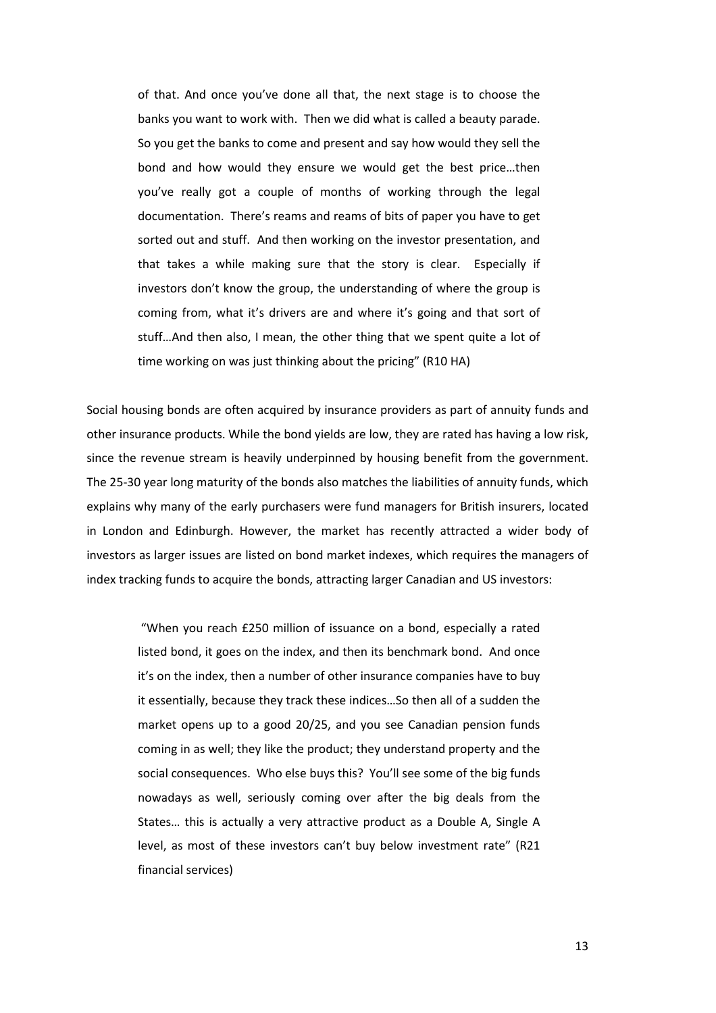of that. And once you've done all that, the next stage is to choose the banks you want to work with. Then we did what is called a beauty parade. So you get the banks to come and present and say how would they sell the bond and how would they ensure we would get the best price…then you've really got a couple of months of working through the legal documentation. There's reams and reams of bits of paper you have to get sorted out and stuff. And then working on the investor presentation, and that takes a while making sure that the story is clear. Especially if investors don't know the group, the understanding of where the group is coming from, what it's drivers are and where it's going and that sort of stuff…And then also, I mean, the other thing that we spent quite a lot of time working on was just thinking about the pricing" (R10 HA)

Social housing bonds are often acquired by insurance providers as part of annuity funds and other insurance products. While the bond yields are low, they are rated has having a low risk, since the revenue stream is heavily underpinned by housing benefit from the government. The 25-30 year long maturity of the bonds also matches the liabilities of annuity funds, which explains why many of the early purchasers were fund managers for British insurers, located in London and Edinburgh. However, the market has recently attracted a wider body of investors as larger issues are listed on bond market indexes, which requires the managers of index tracking funds to acquire the bonds, attracting larger Canadian and US investors:

 "When you reach £250 million of issuance on a bond, especially a rated listed bond, it goes on the index, and then its benchmark bond. And once it's on the index, then a number of other insurance companies have to buy it essentially, because they track these indices…So then all of a sudden the market opens up to a good 20/25, and you see Canadian pension funds coming in as well; they like the product; they understand property and the social consequences. Who else buys this? You'll see some of the big funds nowadays as well, seriously coming over after the big deals from the States… this is actually a very attractive product as a Double A, Single A level, as most of these investors can't buy below investment rate" (R21 financial services)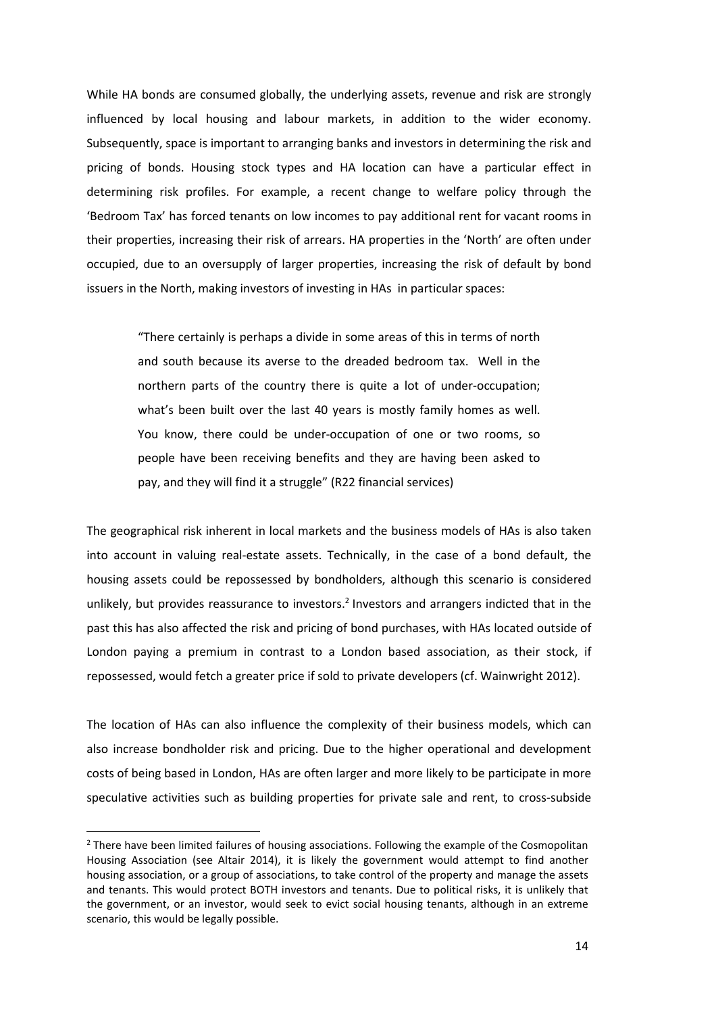While HA bonds are consumed globally, the underlying assets, revenue and risk are strongly influenced by local housing and labour markets, in addition to the wider economy. Subsequently, space is important to arranging banks and investors in determining the risk and pricing of bonds. Housing stock types and HA location can have a particular effect in determining risk profiles. For example, a recent change to welfare policy through the 'Bedroom Tax' has forced tenants on low incomes to pay additional rent for vacant rooms in their properties, increasing their risk of arrears. HA properties in the 'North' are often under occupied, due to an oversupply of larger properties, increasing the risk of default by bond issuers in the North, making investors of investing in HAs in particular spaces:

"There certainly is perhaps a divide in some areas of this in terms of north and south because its averse to the dreaded bedroom tax. Well in the northern parts of the country there is quite a lot of under-occupation; what's been built over the last 40 years is mostly family homes as well. You know, there could be under-occupation of one or two rooms, so people have been receiving benefits and they are having been asked to pay, and they will find it a struggle" (R22 financial services)

The geographical risk inherent in local markets and the business models of HAs is also taken into account in valuing real-estate assets. Technically, in the case of a bond default, the housing assets could be repossessed by bondholders, although this scenario is considered unlikely, but provides reassurance to investors.<sup>2</sup> Investors and arrangers indicted that in the past this has also affected the risk and pricing of bond purchases, with HAs located outside of London paying a premium in contrast to a London based association, as their stock, if repossessed, would fetch a greater price if sold to private developers (cf. Wainwright 2012).

The location of HAs can also influence the complexity of their business models, which can also increase bondholder risk and pricing. Due to the higher operational and development costs of being based in London, HAs are often larger and more likely to be participate in more speculative activities such as building properties for private sale and rent, to cross-subside

l

<sup>&</sup>lt;sup>2</sup> There have been limited failures of housing associations. Following the example of the Cosmopolitan Housing Association (see Altair 2014), it is likely the government would attempt to find another housing association, or a group of associations, to take control of the property and manage the assets and tenants. This would protect BOTH investors and tenants. Due to political risks, it is unlikely that the government, or an investor, would seek to evict social housing tenants, although in an extreme scenario, this would be legally possible.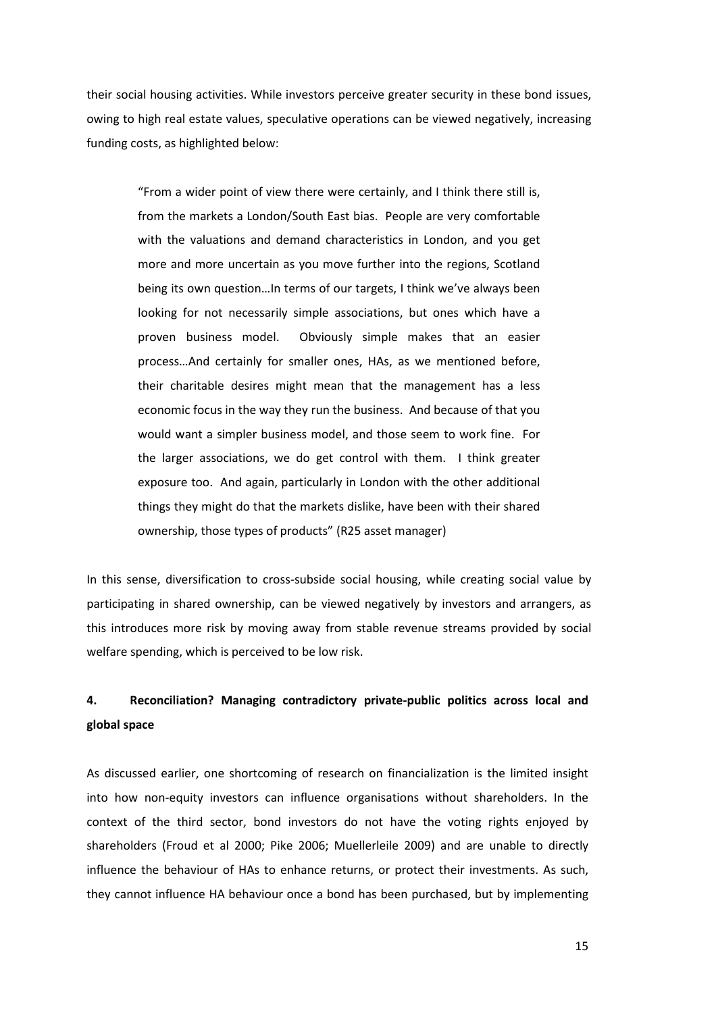their social housing activities. While investors perceive greater security in these bond issues, owing to high real estate values, speculative operations can be viewed negatively, increasing funding costs, as highlighted below:

"From a wider point of view there were certainly, and I think there still is, from the markets a London/South East bias. People are very comfortable with the valuations and demand characteristics in London, and you get more and more uncertain as you move further into the regions, Scotland being its own question…In terms of our targets, I think we've always been looking for not necessarily simple associations, but ones which have a proven business model. Obviously simple makes that an easier process…And certainly for smaller ones, HAs, as we mentioned before, their charitable desires might mean that the management has a less economic focus in the way they run the business. And because of that you would want a simpler business model, and those seem to work fine. For the larger associations, we do get control with them. I think greater exposure too. And again, particularly in London with the other additional things they might do that the markets dislike, have been with their shared ownership, those types of products" (R25 asset manager)

In this sense, diversification to cross-subside social housing, while creating social value by participating in shared ownership, can be viewed negatively by investors and arrangers, as this introduces more risk by moving away from stable revenue streams provided by social welfare spending, which is perceived to be low risk.

# **4. Reconciliation? Managing contradictory private-public politics across local and global space**

As discussed earlier, one shortcoming of research on financialization is the limited insight into how non-equity investors can influence organisations without shareholders. In the context of the third sector, bond investors do not have the voting rights enjoyed by shareholders (Froud et al 2000; Pike 2006; Muellerleile 2009) and are unable to directly influence the behaviour of HAs to enhance returns, or protect their investments. As such, they cannot influence HA behaviour once a bond has been purchased, but by implementing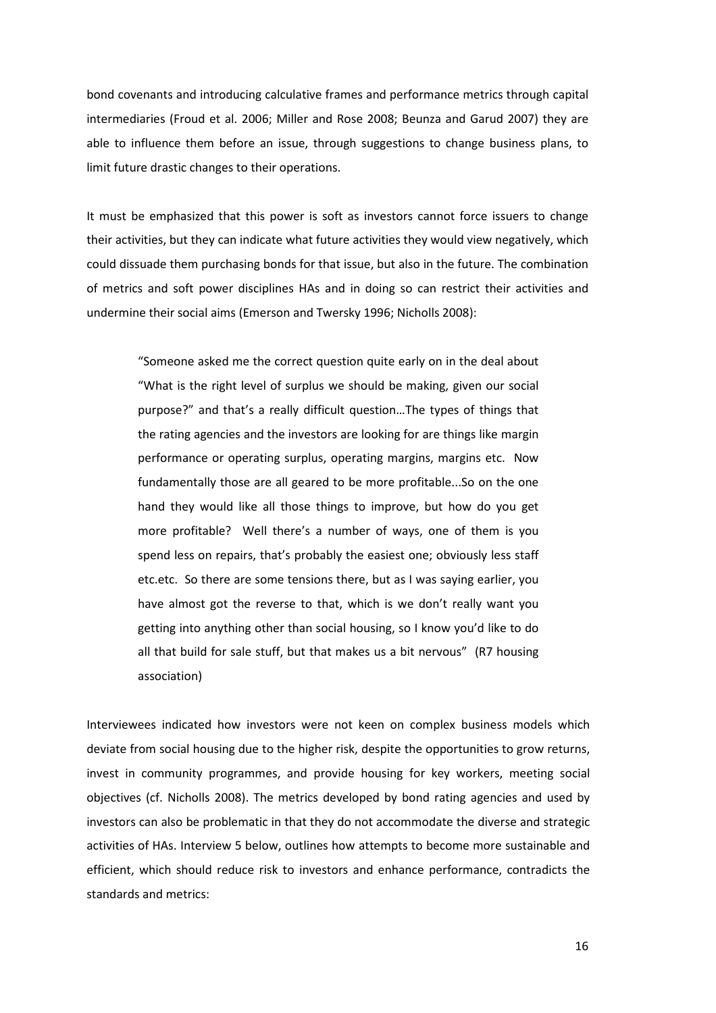bond covenants and introducing calculative frames and performance metrics through capital intermediaries (Froud et al. 2006; Miller and Rose 2008; Beunza and Garud 2007) they are able to influence them before an issue, through suggestions to change business plans, to limit future drastic changes to their operations.

It must be emphasized that this power is soft as investors cannot force issuers to change their activities, but they can indicate what future activities they would view negatively, which could dissuade them purchasing bonds for that issue, but also in the future. The combination of metrics and soft power disciplines HAs and in doing so can restrict their activities and undermine their social aims (Emerson and Twersky 1996; Nicholls 2008):

"Someone asked me the correct question quite early on in the deal about "What is the right level of surplus we should be making, given our social purpose?" and that's a really difficult question…The types of things that the rating agencies and the investors are looking for are things like margin performance or operating surplus, operating margins, margins etc. Now fundamentally those are all geared to be more profitable...So on the one hand they would like all those things to improve, but how do you get more profitable? Well there's a number of ways, one of them is you spend less on repairs, that's probably the easiest one; obviously less staff etc.etc. So there are some tensions there, but as I was saying earlier, you have almost got the reverse to that, which is we don't really want you getting into anything other than social housing, so I know you'd like to do all that build for sale stuff, but that makes us a bit nervous" (R7 housing association)

Interviewees indicated how investors were not keen on complex business models which deviate from social housing due to the higher risk, despite the opportunities to grow returns, invest in community programmes, and provide housing for key workers, meeting social objectives (cf. Nicholls 2008). The metrics developed by bond rating agencies and used by investors can also be problematic in that they do not accommodate the diverse and strategic activities of HAs. Interview 5 below, outlines how attempts to become more sustainable and efficient, which should reduce risk to investors and enhance performance, contradicts the standards and metrics: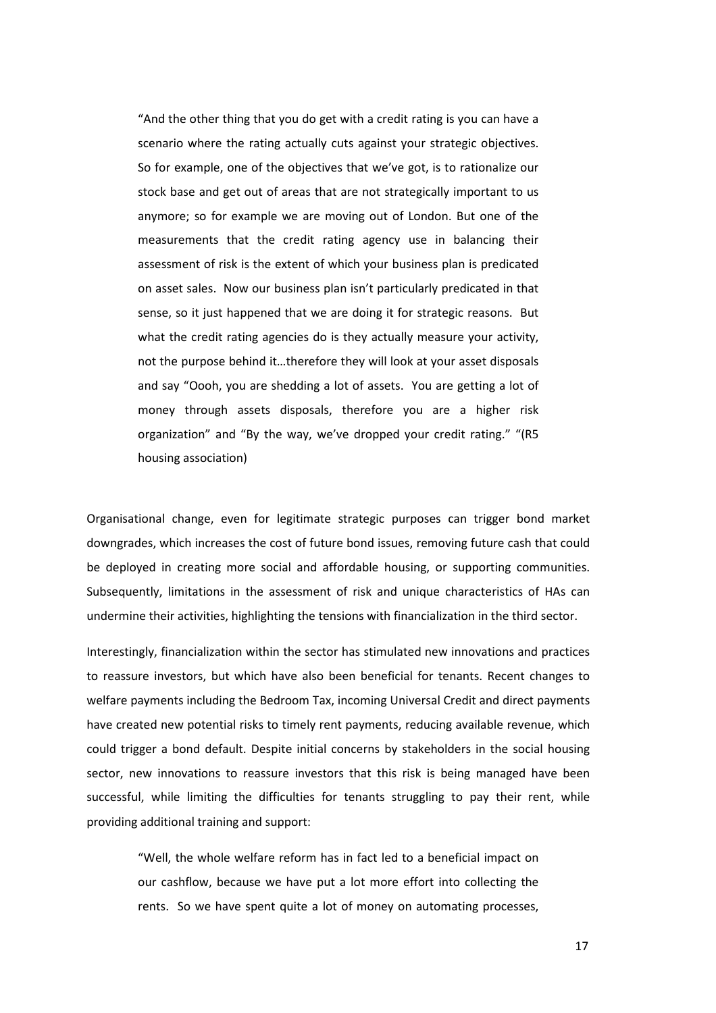"And the other thing that you do get with a credit rating is you can have a scenario where the rating actually cuts against your strategic objectives. So for example, one of the objectives that we've got, is to rationalize our stock base and get out of areas that are not strategically important to us anymore; so for example we are moving out of London. But one of the measurements that the credit rating agency use in balancing their assessment of risk is the extent of which your business plan is predicated on asset sales. Now our business plan isn't particularly predicated in that sense, so it just happened that we are doing it for strategic reasons. But what the credit rating agencies do is they actually measure your activity. not the purpose behind it…therefore they will look at your asset disposals and say "Oooh, you are shedding a lot of assets. You are getting a lot of money through assets disposals, therefore you are a higher risk organization" and "By the way, we've dropped your credit rating." "(R5 housing association)

Organisational change, even for legitimate strategic purposes can trigger bond market downgrades, which increases the cost of future bond issues, removing future cash that could be deployed in creating more social and affordable housing, or supporting communities. Subsequently, limitations in the assessment of risk and unique characteristics of HAs can undermine their activities, highlighting the tensions with financialization in the third sector.

Interestingly, financialization within the sector has stimulated new innovations and practices to reassure investors, but which have also been beneficial for tenants. Recent changes to welfare payments including the Bedroom Tax, incoming Universal Credit and direct payments have created new potential risks to timely rent payments, reducing available revenue, which could trigger a bond default. Despite initial concerns by stakeholders in the social housing sector, new innovations to reassure investors that this risk is being managed have been successful, while limiting the difficulties for tenants struggling to pay their rent, while providing additional training and support:

"Well, the whole welfare reform has in fact led to a beneficial impact on our cashflow, because we have put a lot more effort into collecting the rents. So we have spent quite a lot of money on automating processes,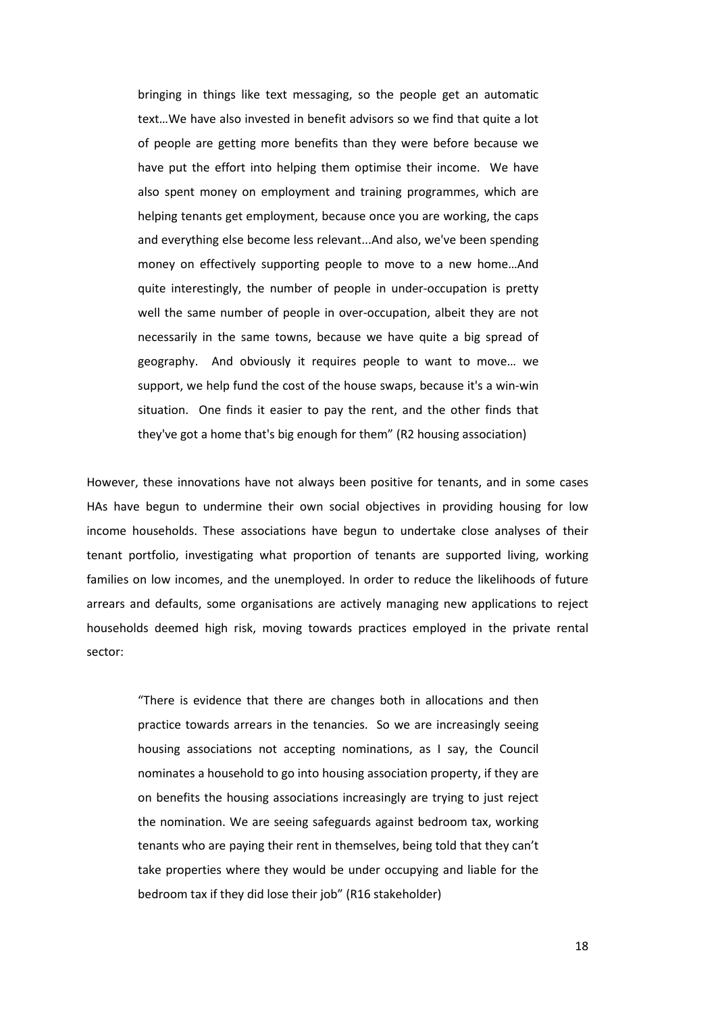bringing in things like text messaging, so the people get an automatic text…We have also invested in benefit advisors so we find that quite a lot of people are getting more benefits than they were before because we have put the effort into helping them optimise their income. We have also spent money on employment and training programmes, which are helping tenants get employment, because once you are working, the caps and everything else become less relevant...And also, we've been spending money on effectively supporting people to move to a new home…And quite interestingly, the number of people in under-occupation is pretty well the same number of people in over-occupation, albeit they are not necessarily in the same towns, because we have quite a big spread of geography. And obviously it requires people to want to move… we support, we help fund the cost of the house swaps, because it's a win-win situation. One finds it easier to pay the rent, and the other finds that they've got a home that's big enough for them" (R2 housing association)

However, these innovations have not always been positive for tenants, and in some cases HAs have begun to undermine their own social objectives in providing housing for low income households. These associations have begun to undertake close analyses of their tenant portfolio, investigating what proportion of tenants are supported living, working families on low incomes, and the unemployed. In order to reduce the likelihoods of future arrears and defaults, some organisations are actively managing new applications to reject households deemed high risk, moving towards practices employed in the private rental sector:

"There is evidence that there are changes both in allocations and then practice towards arrears in the tenancies. So we are increasingly seeing housing associations not accepting nominations, as I say, the Council nominates a household to go into housing association property, if they are on benefits the housing associations increasingly are trying to just reject the nomination. We are seeing safeguards against bedroom tax, working tenants who are paying their rent in themselves, being told that they can't take properties where they would be under occupying and liable for the bedroom tax if they did lose their job" (R16 stakeholder)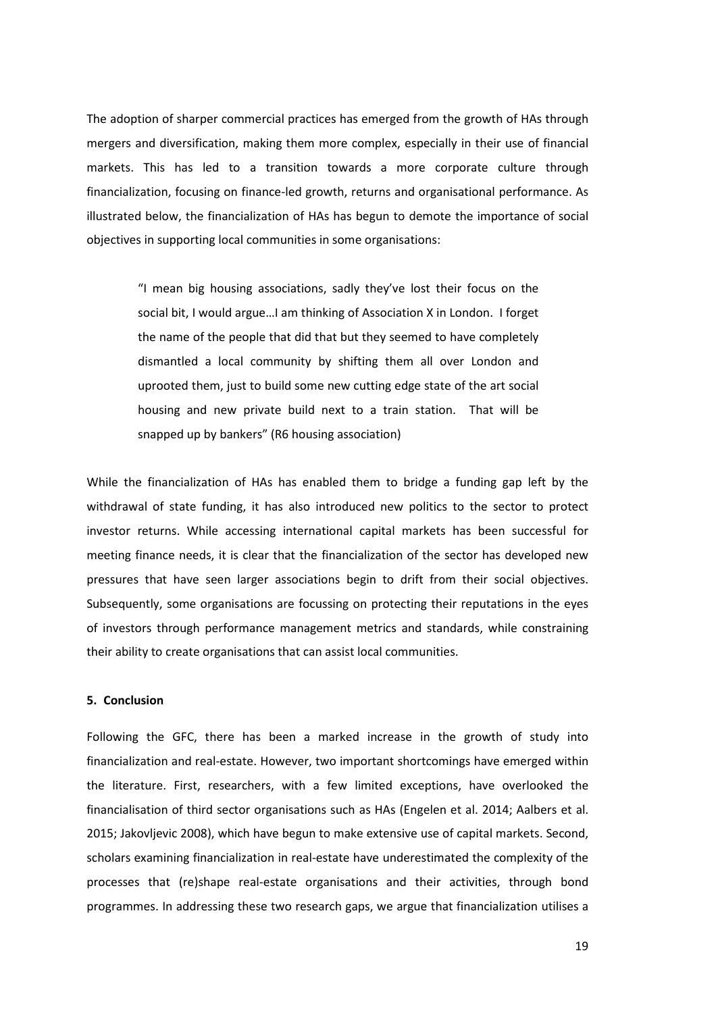The adoption of sharper commercial practices has emerged from the growth of HAs through mergers and diversification, making them more complex, especially in their use of financial markets. This has led to a transition towards a more corporate culture through financialization, focusing on finance-led growth, returns and organisational performance. As illustrated below, the financialization of HAs has begun to demote the importance of social objectives in supporting local communities in some organisations:

"I mean big housing associations, sadly they've lost their focus on the social bit, I would argue…I am thinking of Association X in London. I forget the name of the people that did that but they seemed to have completely dismantled a local community by shifting them all over London and uprooted them, just to build some new cutting edge state of the art social housing and new private build next to a train station. That will be snapped up by bankers" (R6 housing association)

While the financialization of HAs has enabled them to bridge a funding gap left by the withdrawal of state funding, it has also introduced new politics to the sector to protect investor returns. While accessing international capital markets has been successful for meeting finance needs, it is clear that the financialization of the sector has developed new pressures that have seen larger associations begin to drift from their social objectives. Subsequently, some organisations are focussing on protecting their reputations in the eyes of investors through performance management metrics and standards, while constraining their ability to create organisations that can assist local communities.

### **5. Conclusion**

Following the GFC, there has been a marked increase in the growth of study into financialization and real-estate. However, two important shortcomings have emerged within the literature. First, researchers, with a few limited exceptions, have overlooked the financialisation of third sector organisations such as HAs (Engelen et al. 2014; Aalbers et al. 2015; Jakovljevic 2008), which have begun to make extensive use of capital markets. Second, scholars examining financialization in real-estate have underestimated the complexity of the processes that (re)shape real-estate organisations and their activities, through bond programmes. In addressing these two research gaps, we argue that financialization utilises a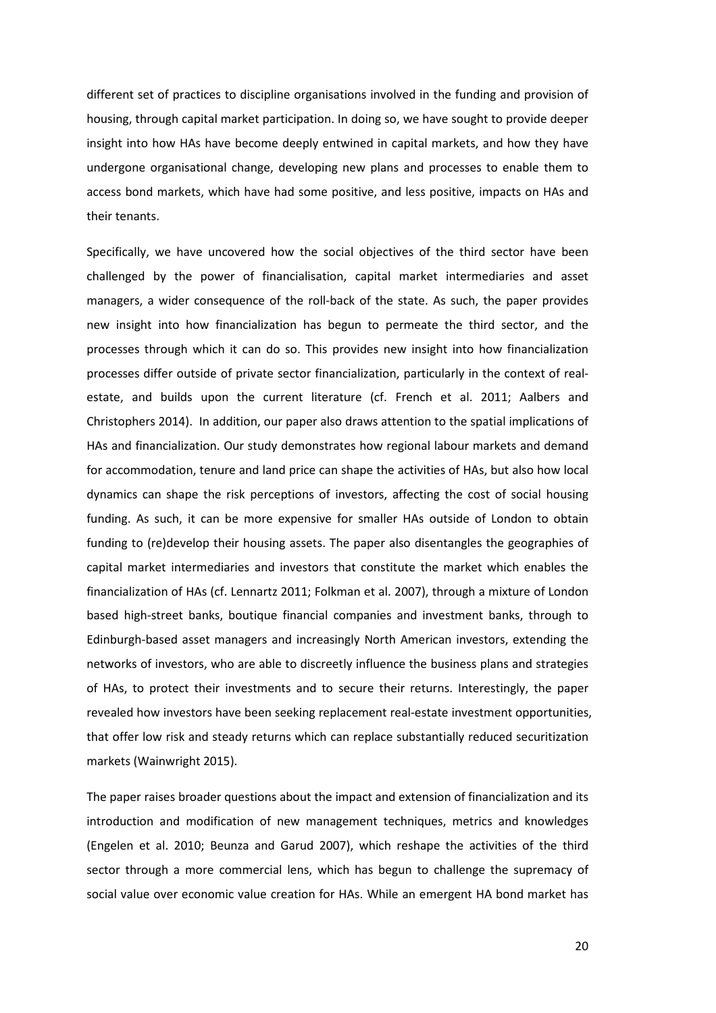different set of practices to discipline organisations involved in the funding and provision of housing, through capital market participation. In doing so, we have sought to provide deeper insight into how HAs have become deeply entwined in capital markets, and how they have undergone organisational change, developing new plans and processes to enable them to access bond markets, which have had some positive, and less positive, impacts on HAs and their tenants.

Specifically, we have uncovered how the social objectives of the third sector have been challenged by the power of financialisation, capital market intermediaries and asset managers, a wider consequence of the roll-back of the state. As such, the paper provides new insight into how financialization has begun to permeate the third sector, and the processes through which it can do so. This provides new insight into how financialization processes differ outside of private sector financialization, particularly in the context of realestate, and builds upon the current literature (cf. French et al. 2011; Aalbers and Christophers 2014). In addition, our paper also draws attention to the spatial implications of HAs and financialization. Our study demonstrates how regional labour markets and demand for accommodation, tenure and land price can shape the activities of HAs, but also how local dynamics can shape the risk perceptions of investors, affecting the cost of social housing funding. As such, it can be more expensive for smaller HAs outside of London to obtain funding to (re)develop their housing assets. The paper also disentangles the geographies of capital market intermediaries and investors that constitute the market which enables the financialization of HAs (cf. Lennartz 2011; Folkman et al. 2007), through a mixture of London based high-street banks, boutique financial companies and investment banks, through to Edinburgh-based asset managers and increasingly North American investors, extending the networks of investors, who are able to discreetly influence the business plans and strategies of HAs, to protect their investments and to secure their returns. Interestingly, the paper revealed how investors have been seeking replacement real-estate investment opportunities, that offer low risk and steady returns which can replace substantially reduced securitization markets (Wainwright 2015).

The paper raises broader questions about the impact and extension of financialization and its introduction and modification of new management techniques, metrics and knowledges (Engelen et al. 2010; Beunza and Garud 2007), which reshape the activities of the third sector through a more commercial lens, which has begun to challenge the supremacy of social value over economic value creation for HAs. While an emergent HA bond market has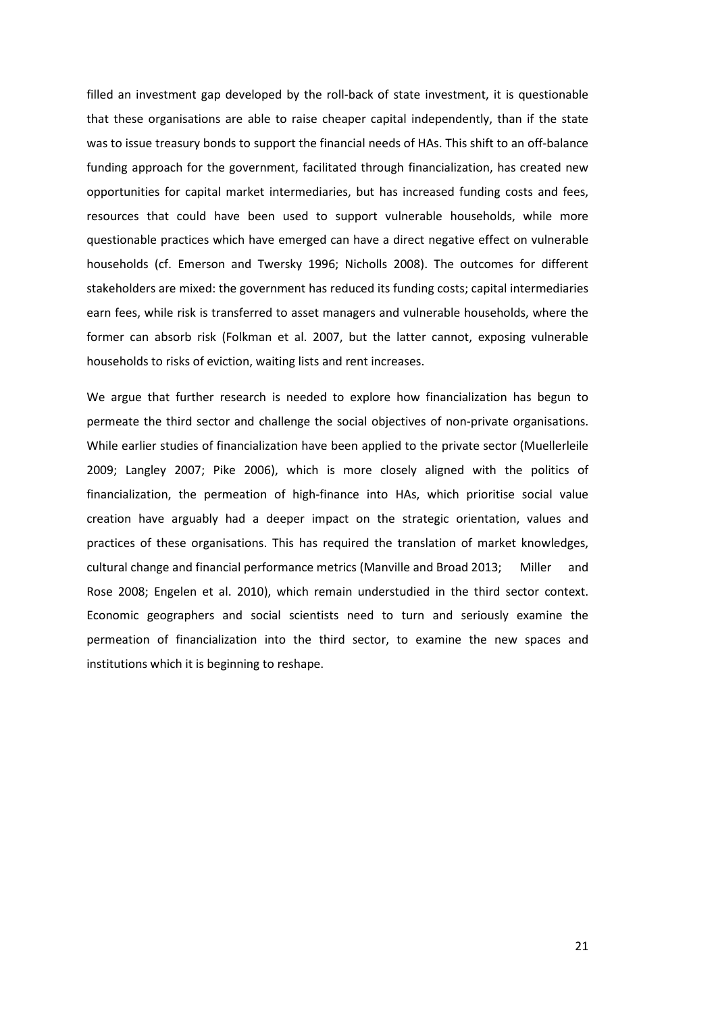filled an investment gap developed by the roll-back of state investment, it is questionable that these organisations are able to raise cheaper capital independently, than if the state was to issue treasury bonds to support the financial needs of HAs. This shift to an off-balance funding approach for the government, facilitated through financialization, has created new opportunities for capital market intermediaries, but has increased funding costs and fees, resources that could have been used to support vulnerable households, while more questionable practices which have emerged can have a direct negative effect on vulnerable households (cf. Emerson and Twersky 1996; Nicholls 2008). The outcomes for different stakeholders are mixed: the government has reduced its funding costs; capital intermediaries earn fees, while risk is transferred to asset managers and vulnerable households, where the former can absorb risk (Folkman et al. 2007, but the latter cannot, exposing vulnerable households to risks of eviction, waiting lists and rent increases.

We argue that further research is needed to explore how financialization has begun to permeate the third sector and challenge the social objectives of non-private organisations. While earlier studies of financialization have been applied to the private sector (Muellerleile 2009; Langley 2007; Pike 2006), which is more closely aligned with the politics of financialization, the permeation of high-finance into HAs, which prioritise social value creation have arguably had a deeper impact on the strategic orientation, values and practices of these organisations. This has required the translation of market knowledges, cultural change and financial performance metrics (Manville and Broad 2013; Miller and Rose 2008; Engelen et al. 2010), which remain understudied in the third sector context. Economic geographers and social scientists need to turn and seriously examine the permeation of financialization into the third sector, to examine the new spaces and institutions which it is beginning to reshape.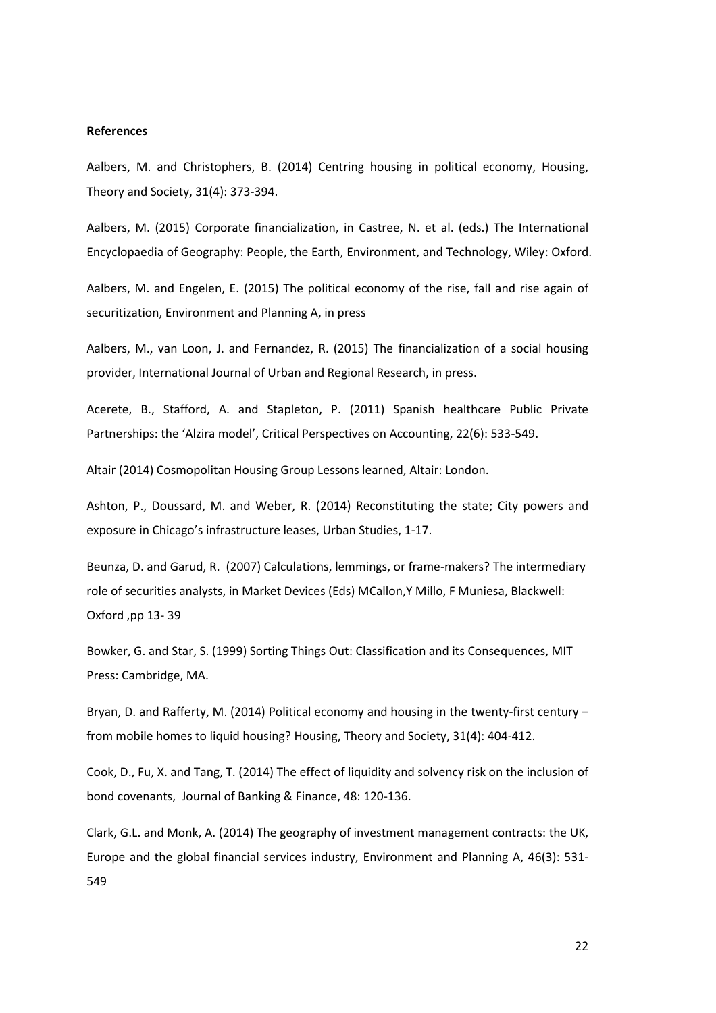#### **References**

Aalbers, M. and Christophers, B. (2014) Centring housing in political economy, Housing, Theory and Society, 31(4): 373-394.

Aalbers, M. (2015) Corporate financialization, in Castree, N. et al. (eds.) The International Encyclopaedia of Geography: People, the Earth, Environment, and Technology, Wiley: Oxford.

Aalbers, M. and Engelen, E. (2015) The political economy of the rise, fall and rise again of securitization, Environment and Planning A, in press

Aalbers, M., van Loon, J. and Fernandez, R. (2015) The financialization of a social housing provider, International Journal of Urban and Regional Research, in press.

Acerete, B., Stafford, A. and Stapleton, P. (2011) Spanish healthcare Public Private Partnerships: the 'Alzira model', Critical Perspectives on Accounting, 22(6): 533-549.

Altair (2014) Cosmopolitan Housing Group Lessons learned, Altair: London.

Ashton, P., Doussard, M. and Weber, R. (2014) Reconstituting the state; City powers and exposure in Chicago's infrastructure leases, Urban Studies, 1-17.

Beunza, D. and Garud, R. (2007) Calculations, lemmings, or frame-makers? The intermediary role of securities analysts, in Market Devices (Eds) MCallon,Y Millo, F Muniesa, Blackwell: Oxford ,pp 13- 39

Bowker, G. and Star, S. (1999) Sorting Things Out: Classification and its Consequences, MIT Press: Cambridge, MA.

Bryan, D. and Rafferty, M. (2014) Political economy and housing in the twenty-first century – from mobile homes to liquid housing? Housing, Theory and Society, 31(4): 404-412.

Cook, D., Fu, X. and Tang, T. (2014) The effect of liquidity and solvency risk on the inclusion of bond covenants, Journal of Banking & Finance, 48: 120-136.

Clark, G.L. and Monk, A. (2014) The geography of investment management contracts: the UK, Europe and the global financial services industry, Environment and Planning A, 46(3): 531- 549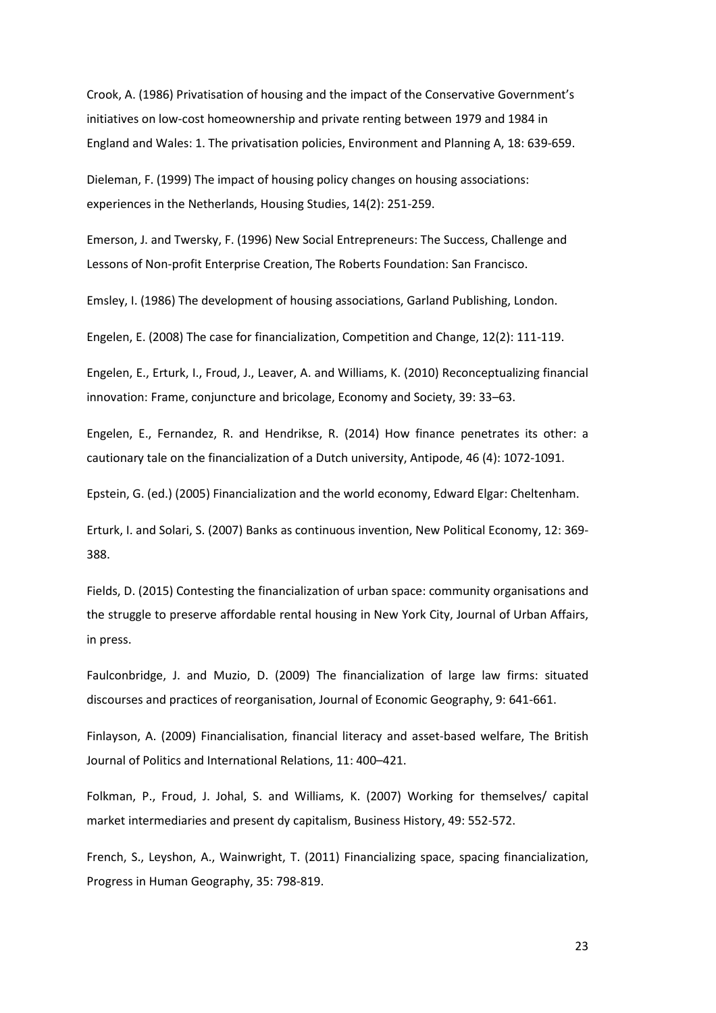Crook, A. (1986) Privatisation of housing and the impact of the Conservative Government's initiatives on low-cost homeownership and private renting between 1979 and 1984 in England and Wales: 1. The privatisation policies, Environment and Planning A, 18: 639-659.

Dieleman, F. (1999) The impact of housing policy changes on housing associations: experiences in the Netherlands, Housing Studies, 14(2): 251-259.

Emerson, J. and Twersky, F. (1996) New Social Entrepreneurs: The Success, Challenge and Lessons of Non-profit Enterprise Creation, The Roberts Foundation: San Francisco.

Emsley, I. (1986) The development of housing associations, Garland Publishing, London.

Engelen, E. (2008) The case for financialization, Competition and Change, 12(2): 111-119.

Engelen, E., Erturk, I., Froud, J., Leaver, A. and Williams, K. (2010) Reconceptualizing financial innovation: Frame, conjuncture and bricolage, Economy and Society, 39: 33–63.

Engelen, E., Fernandez, R. and Hendrikse, R. (2014) How finance penetrates its other: a cautionary tale on the financialization of a Dutch university, Antipode, 46 (4): 1072-1091.

Epstein, G. (ed.) (2005) Financialization and the world economy, Edward Elgar: Cheltenham.

Erturk, I. and Solari, S. (2007) Banks as continuous invention, New Political Economy, 12: 369- 388.

Fields, D. (2015) Contesting the financialization of urban space: community organisations and the struggle to preserve affordable rental housing in New York City, Journal of Urban Affairs, in press.

Faulconbridge, J. and Muzio, D. (2009) The financialization of large law firms: situated discourses and practices of reorganisation, Journal of Economic Geography, 9: 641-661.

Finlayson, A. (2009) Financialisation, financial literacy and asset-based welfare, The British Journal of Politics and International Relations, 11: 400–421.

Folkman, P., Froud, J. Johal, S. and Williams, K. (2007) Working for themselves/ capital market intermediaries and present dy capitalism, Business History, 49: 552-572.

French, S., Leyshon, A., Wainwright, T. (2011) Financializing space, spacing financialization, Progress in Human Geography, 35: 798-819.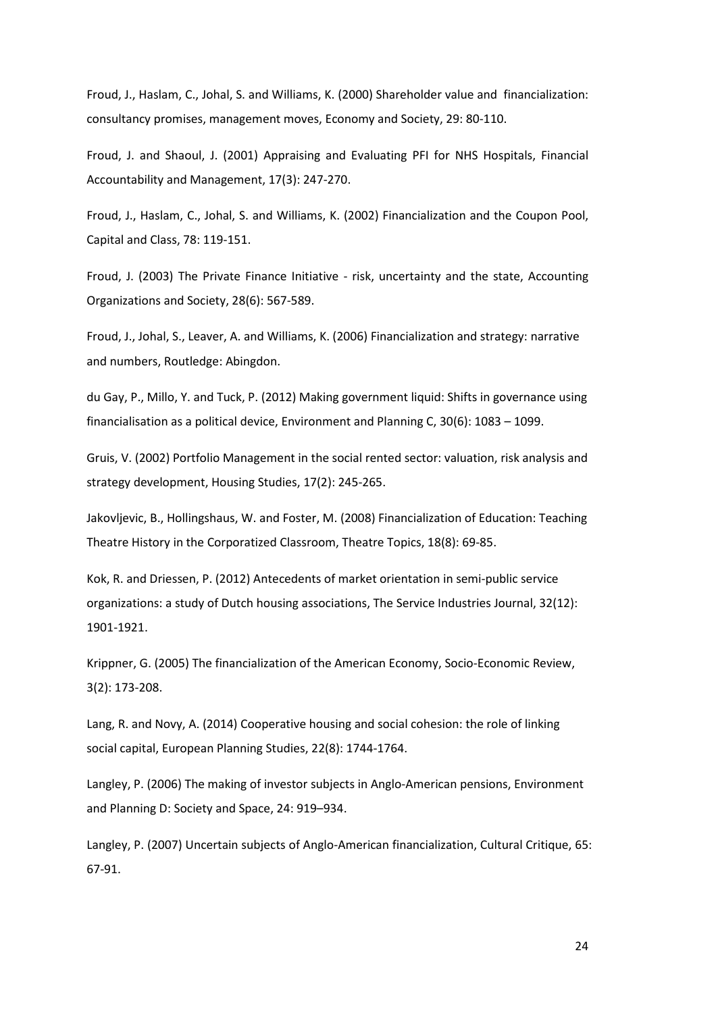Froud, J., Haslam, C., Johal, S. and Williams, K. (2000) Shareholder value and financialization: consultancy promises, management moves, Economy and Society, 29: 80-110.

Froud, J. and Shaoul, J. (2001) Appraising and Evaluating PFI for NHS Hospitals, Financial Accountability and Management, 17(3): 247-270.

Froud, J., Haslam, C., Johal, S. and Williams, K. (2002) Financialization and the Coupon Pool, Capital and Class, 78: 119-151.

Froud, J. (2003) The Private Finance Initiative - risk, uncertainty and the state, Accounting Organizations and Society, 28(6): 567-589.

Froud, J., Johal, S., Leaver, A. and Williams, K. (2006) Financialization and strategy: narrative and numbers, Routledge: Abingdon.

du Gay, P., Millo, Y. and Tuck, P. (2012) Making government liquid: Shifts in governance using financialisation as a political device, Environment and Planning C, 30(6): 1083 – 1099.

Gruis, V. (2002) Portfolio Management in the social rented sector: valuation, risk analysis and strategy development, Housing Studies, 17(2): 245-265.

Jakovljevic, B., Hollingshaus, W. and Foster, M. (2008) Financialization of Education: Teaching Theatre History in the Corporatized Classroom, Theatre Topics, 18(8): 69-85.

Kok, R. and Driessen, P. (2012) Antecedents of market orientation in semi-public service organizations: a study of Dutch housing associations, The Service Industries Journal, 32(12): 1901-1921.

Krippner, G. (2005) The financialization of the American Economy, Socio-Economic Review, 3(2): 173-208.

Lang, R. and Novy, A. (2014) Cooperative housing and social cohesion: the role of linking social capital, European Planning Studies, 22(8): 1744-1764.

Langley, P. (2006) The making of investor subjects in Anglo-American pensions, Environment and Planning D: Society and Space, 24: 919–934.

Langley, P. (2007) Uncertain subjects of Anglo-American financialization, Cultural Critique, 65: 67-91.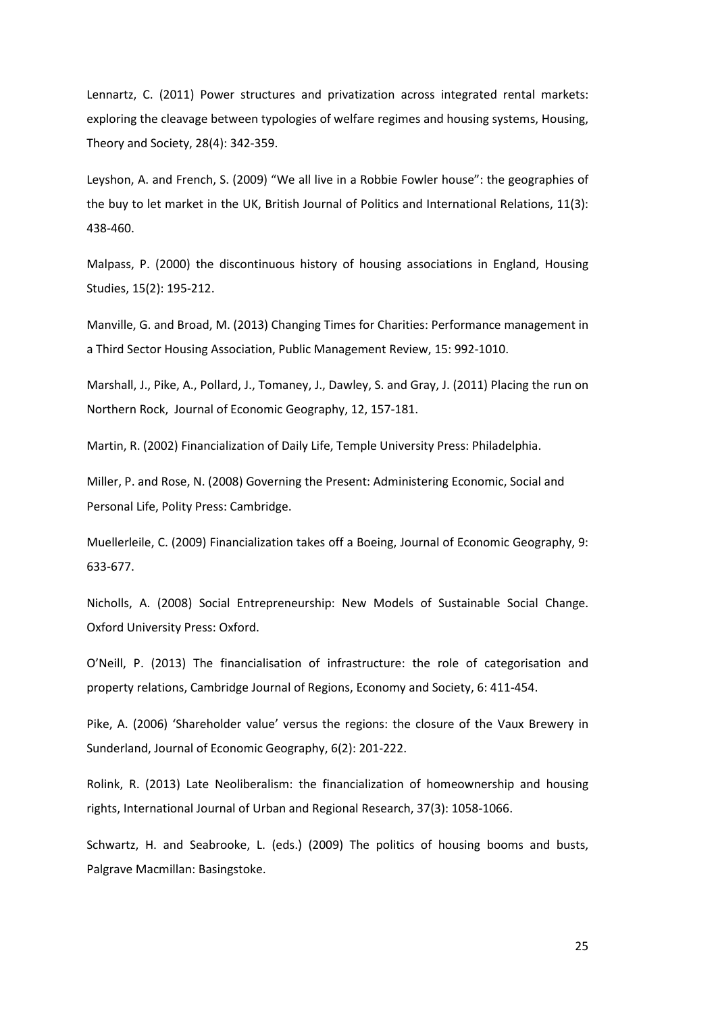Lennartz, C. (2011) Power structures and privatization across integrated rental markets: exploring the cleavage between typologies of welfare regimes and housing systems, Housing, Theory and Society, 28(4): 342-359.

Leyshon, A. and French, S. (2009) "We all live in a Robbie Fowler house": the geographies of the buy to let market in the UK, British Journal of Politics and International Relations, 11(3): 438-460.

Malpass, P. (2000) the discontinuous history of housing associations in England, Housing Studies, 15(2): 195-212.

Manville, G. and Broad, M. (2013) Changing Times for Charities: Performance management in a Third Sector Housing Association, Public Management Review, 15: 992-1010.

Marshall, J., Pike, A., Pollard, J., Tomaney, J., Dawley, S. and Gray, J. (2011) Placing the run on Northern Rock, Journal of Economic Geography, 12, 157-181.

Martin, R. (2002) Financialization of Daily Life, Temple University Press: Philadelphia.

Miller, P. and Rose, N. (2008) Governing the Present: Administering Economic, Social and Personal Life, Polity Press: Cambridge.

Muellerleile, C. (2009) Financialization takes off a Boeing, Journal of Economic Geography, 9: 633-677.

Nicholls, A. (2008) Social Entrepreneurship: New Models of Sustainable Social Change. Oxford University Press: Oxford.

O'Neill, P. (2013) The financialisation of infrastructure: the role of categorisation and property relations, Cambridge Journal of Regions, Economy and Society, 6: 411-454.

Pike, A. (2006) 'Shareholder value' versus the regions: the closure of the Vaux Brewery in Sunderland, Journal of Economic Geography, 6(2): 201-222.

Rolink, R. (2013) Late Neoliberalism: the financialization of homeownership and housing rights, International Journal of Urban and Regional Research, 37(3): 1058-1066.

Schwartz, H. and Seabrooke, L. (eds.) (2009) The politics of housing booms and busts, Palgrave Macmillan: Basingstoke.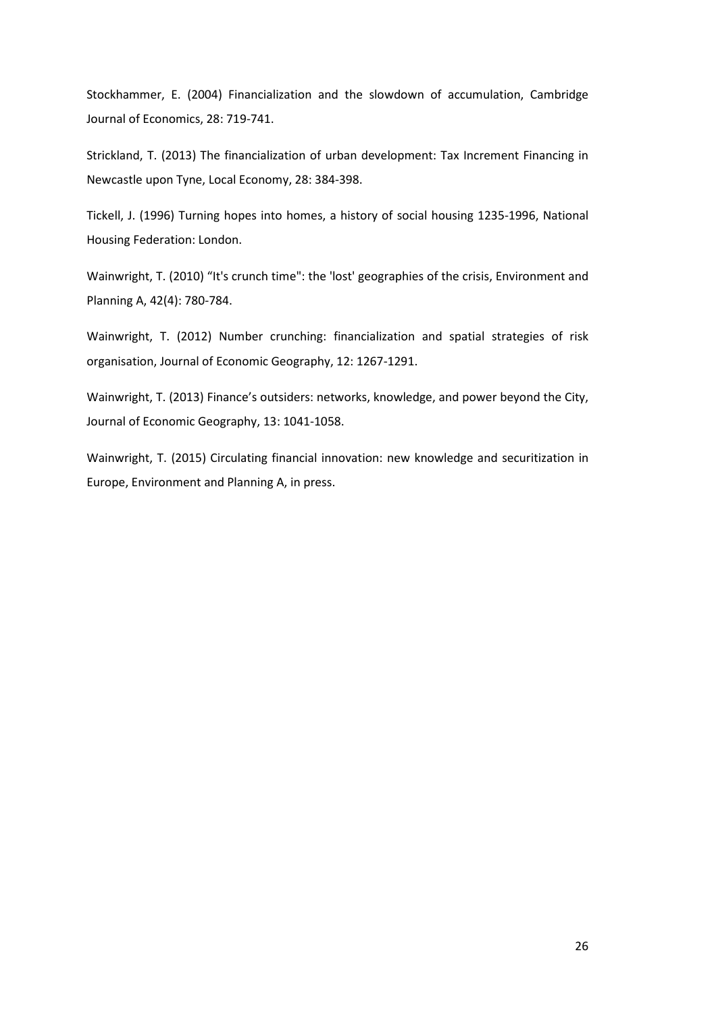Stockhammer, E. (2004) Financialization and the slowdown of accumulation, Cambridge Journal of Economics, 28: 719-741.

Strickland, T. (2013) The financialization of urban development: Tax Increment Financing in Newcastle upon Tyne, Local Economy, 28: 384-398.

Tickell, J. (1996) Turning hopes into homes, a history of social housing 1235-1996, National Housing Federation: London.

Wainwright, T. (2010) "It's crunch time": the 'lost' geographies of the crisis, Environment and Planning A, 42(4): 780-784.

Wainwright, T. (2012) Number crunching: financialization and spatial strategies of risk organisation, Journal of Economic Geography, 12: 1267-1291.

Wainwright, T. (2013) Finance's outsiders: networks, knowledge, and power beyond the City, Journal of Economic Geography, 13: 1041-1058.

Wainwright, T. (2015) Circulating financial innovation: new knowledge and securitization in Europe, Environment and Planning A, in press.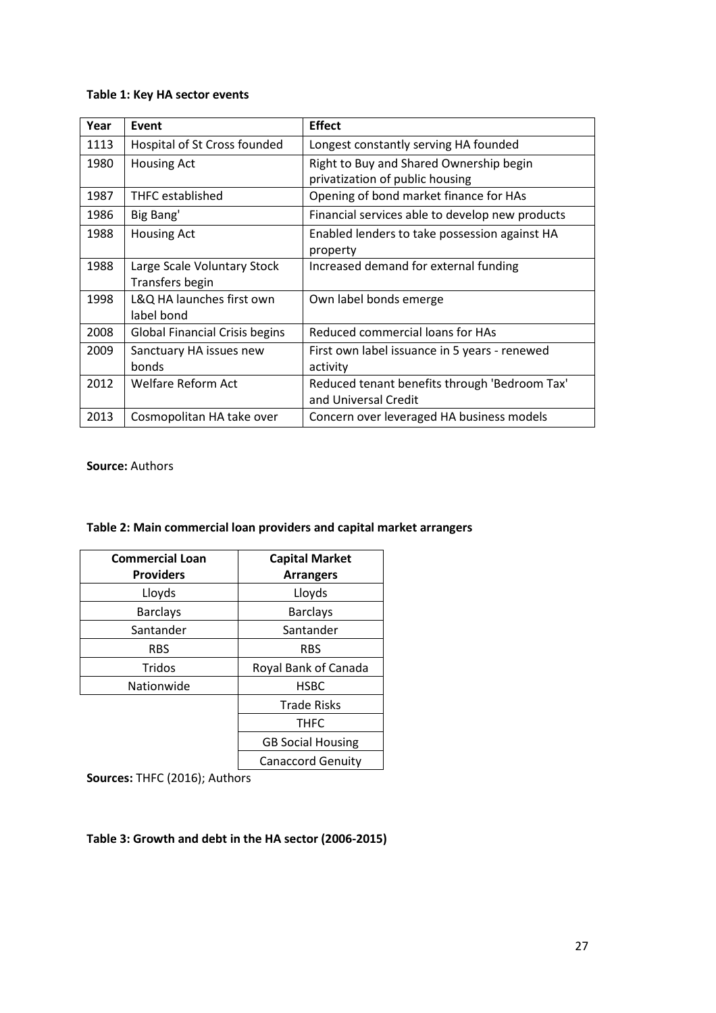### **Table 1: Key HA sector events**

| Year | Event                                          | <b>Effect</b>                                                              |
|------|------------------------------------------------|----------------------------------------------------------------------------|
| 1113 | Hospital of St Cross founded                   | Longest constantly serving HA founded                                      |
| 1980 | <b>Housing Act</b>                             | Right to Buy and Shared Ownership begin<br>privatization of public housing |
| 1987 | <b>THFC</b> established                        | Opening of bond market finance for HAs                                     |
| 1986 | Big Bang'                                      | Financial services able to develop new products                            |
| 1988 | <b>Housing Act</b>                             | Enabled lenders to take possession against HA<br>property                  |
| 1988 | Large Scale Voluntary Stock<br>Transfers begin | Increased demand for external funding                                      |
| 1998 | L&Q HA launches first own<br>label bond        | Own label bonds emerge                                                     |
| 2008 | <b>Global Financial Crisis begins</b>          | Reduced commercial loans for HAs                                           |
| 2009 | Sanctuary HA issues new<br>bonds               | First own label issuance in 5 years - renewed<br>activity                  |
| 2012 | Welfare Reform Act                             | Reduced tenant benefits through 'Bedroom Tax'<br>and Universal Credit      |
| 2013 | Cosmopolitan HA take over                      | Concern over leveraged HA business models                                  |

**Source:** Authors

## **Table 2: Main commercial loan providers and capital market arrangers**

| <b>Commercial Loan</b> | <b>Capital Market</b>    |
|------------------------|--------------------------|
| <b>Providers</b>       | <b>Arrangers</b>         |
| Lloyds                 | Lloyds                   |
| <b>Barclays</b>        | <b>Barclays</b>          |
| Santander              | Santander                |
| <b>RBS</b>             | <b>RBS</b>               |
| Tridos                 | Royal Bank of Canada     |
| Nationwide             | <b>HSBC</b>              |
|                        | <b>Trade Risks</b>       |
|                        | <b>THFC</b>              |
|                        | <b>GB Social Housing</b> |
|                        | <b>Canaccord Genuity</b> |

**Sources:** THFC (2016); Authors

## **Table 3: Growth and debt in the HA sector (2006-2015)**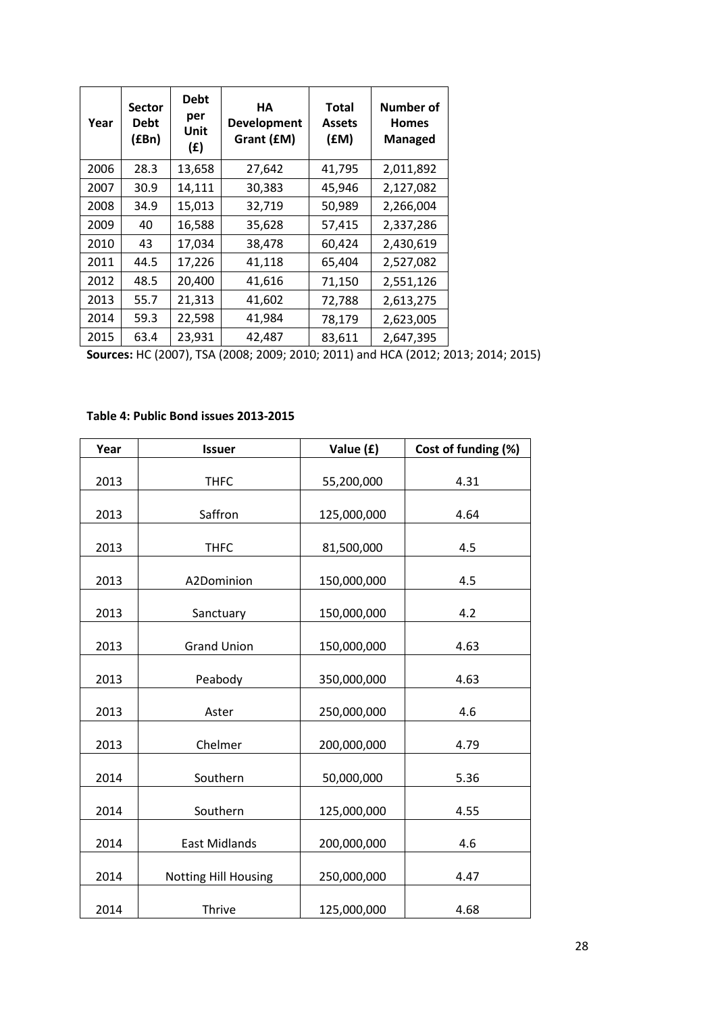| Year | <b>Sector</b><br><b>Debt</b><br>(£Bn) | <b>Debt</b><br>per<br>Unit<br>(f) | HА<br><b>Development</b><br>Grant (£M) | Total<br><b>Assets</b><br>f(M) | Number of<br><b>Homes</b><br><b>Managed</b> |
|------|---------------------------------------|-----------------------------------|----------------------------------------|--------------------------------|---------------------------------------------|
| 2006 | 28.3                                  | 13,658                            | 27,642                                 | 41,795                         | 2,011,892                                   |
| 2007 | 30.9                                  | 14,111                            | 30,383                                 | 45,946                         | 2,127,082                                   |
| 2008 | 34.9                                  | 15,013                            | 32,719                                 | 50,989                         | 2,266,004                                   |
| 2009 | 40                                    | 16,588                            | 35,628                                 | 57,415                         | 2,337,286                                   |
| 2010 | 43                                    | 17,034                            | 38,478                                 | 60,424                         | 2,430,619                                   |
| 2011 | 44.5                                  | 17,226                            | 41,118                                 | 65,404                         | 2,527,082                                   |
| 2012 | 48.5                                  | 20,400                            | 41,616                                 | 71,150                         | 2,551,126                                   |
| 2013 | 55.7                                  | 21,313                            | 41,602                                 | 72,788                         | 2,613,275                                   |
| 2014 | 59.3                                  | 22,598                            | 41,984                                 | 78,179                         | 2,623,005                                   |
| 2015 | 63.4                                  | 23,931                            | 42,487                                 | 83,611                         | 2,647,395                                   |

**Sources:** HC (2007), TSA (2008; 2009; 2010; 2011) and HCA (2012; 2013; 2014; 2015)

## **Table 4: Public Bond issues 2013-2015**

| Year | <b>Issuer</b>               | Value (£)   | Cost of funding (%) |
|------|-----------------------------|-------------|---------------------|
| 2013 | <b>THFC</b>                 | 55,200,000  | 4.31                |
| 2013 | Saffron                     | 125,000,000 | 4.64                |
| 2013 | <b>THFC</b>                 | 81,500,000  | 4.5                 |
| 2013 | A2Dominion                  | 150,000,000 | 4.5                 |
| 2013 | Sanctuary                   | 150,000,000 | 4.2                 |
| 2013 | <b>Grand Union</b>          | 150,000,000 | 4.63                |
| 2013 | Peabody                     | 350,000,000 | 4.63                |
| 2013 | Aster                       | 250,000,000 | 4.6                 |
| 2013 | Chelmer                     | 200,000,000 | 4.79                |
| 2014 | Southern                    | 50,000,000  | 5.36                |
| 2014 | Southern                    | 125,000,000 | 4.55                |
| 2014 | <b>East Midlands</b>        | 200,000,000 | 4.6                 |
| 2014 | <b>Notting Hill Housing</b> | 250,000,000 | 4.47                |
| 2014 | Thrive                      | 125,000,000 | 4.68                |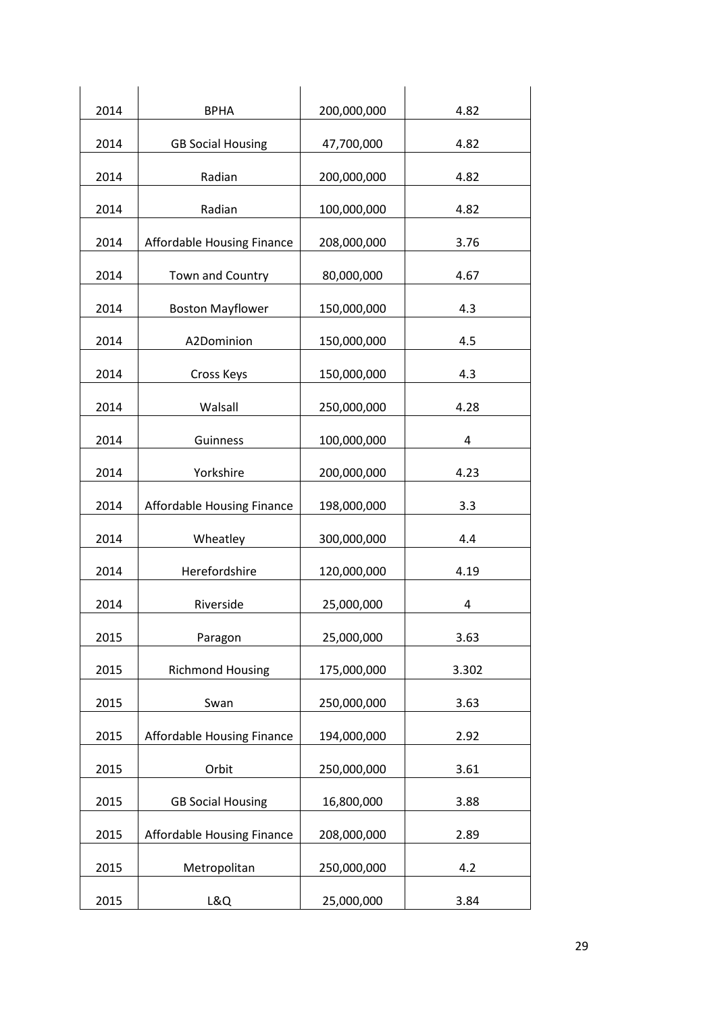| 2014 | <b>BPHA</b>                | 200,000,000 | 4.82  |
|------|----------------------------|-------------|-------|
| 2014 | <b>GB Social Housing</b>   | 47,700,000  | 4.82  |
| 2014 | Radian                     | 200,000,000 | 4.82  |
| 2014 | Radian                     | 100,000,000 | 4.82  |
| 2014 | Affordable Housing Finance | 208,000,000 | 3.76  |
| 2014 | Town and Country           | 80,000,000  | 4.67  |
| 2014 | <b>Boston Mayflower</b>    | 150,000,000 | 4.3   |
| 2014 | A2Dominion                 | 150,000,000 | 4.5   |
| 2014 | Cross Keys                 | 150,000,000 | 4.3   |
| 2014 | Walsall                    | 250,000,000 | 4.28  |
| 2014 | Guinness                   | 100,000,000 | 4     |
| 2014 | Yorkshire                  | 200,000,000 | 4.23  |
| 2014 | Affordable Housing Finance | 198,000,000 | 3.3   |
| 2014 | Wheatley                   | 300,000,000 | 4.4   |
| 2014 | Herefordshire              | 120,000,000 | 4.19  |
| 2014 | Riverside                  | 25,000,000  | 4     |
| 2015 | Paragon                    | 25,000,000  | 3.63  |
| 2015 | <b>Richmond Housing</b>    | 175,000,000 | 3.302 |
| 2015 | Swan                       | 250,000,000 | 3.63  |
| 2015 | Affordable Housing Finance | 194,000,000 | 2.92  |
| 2015 | Orbit                      | 250,000,000 | 3.61  |
| 2015 | <b>GB Social Housing</b>   | 16,800,000  | 3.88  |
| 2015 | Affordable Housing Finance | 208,000,000 | 2.89  |
| 2015 | Metropolitan               | 250,000,000 | 4.2   |
| 2015 | L&Q                        | 25,000,000  | 3.84  |